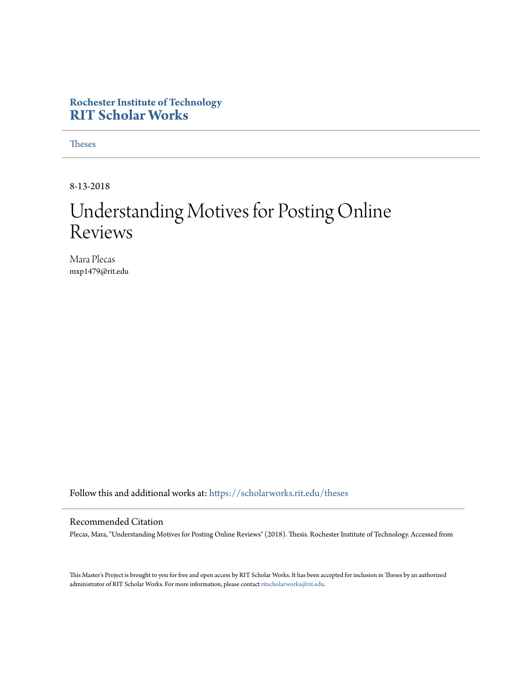#### **Rochester Institute of Technology [RIT Scholar Works](https://scholarworks.rit.edu?utm_source=scholarworks.rit.edu%2Ftheses%2F10027&utm_medium=PDF&utm_campaign=PDFCoverPages)**

[Theses](https://scholarworks.rit.edu/theses?utm_source=scholarworks.rit.edu%2Ftheses%2F10027&utm_medium=PDF&utm_campaign=PDFCoverPages)

8-13-2018

## Understanding Motives for Posting Online Reviews

Mara Plecas mxp1479@rit.edu

Follow this and additional works at: [https://scholarworks.rit.edu/theses](https://scholarworks.rit.edu/theses?utm_source=scholarworks.rit.edu%2Ftheses%2F10027&utm_medium=PDF&utm_campaign=PDFCoverPages)

#### Recommended Citation

Plecas, Mara, "Understanding Motives for Posting Online Reviews" (2018). Thesis. Rochester Institute of Technology. Accessed from

This Master's Project is brought to you for free and open access by RIT Scholar Works. It has been accepted for inclusion in Theses by an authorized administrator of RIT Scholar Works. For more information, please contact [ritscholarworks@rit.edu.](mailto:ritscholarworks@rit.edu)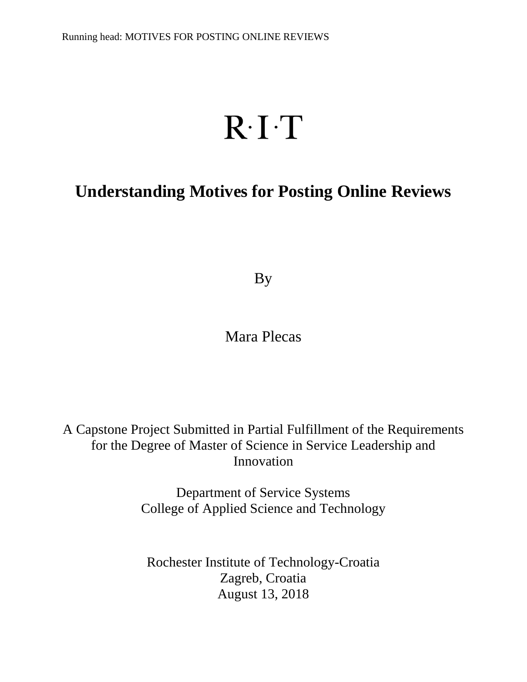# $R \cdot I \cdot T$

## **Understanding Motives for Posting Online Reviews**

By

Mara Plecas

A Capstone Project Submitted in Partial Fulfillment of the Requirements for the Degree of Master of Science in Service Leadership and Innovation

> Department of Service Systems College of Applied Science and Technology

Rochester Institute of Technology-Croatia Zagreb, Croatia August 13, 2018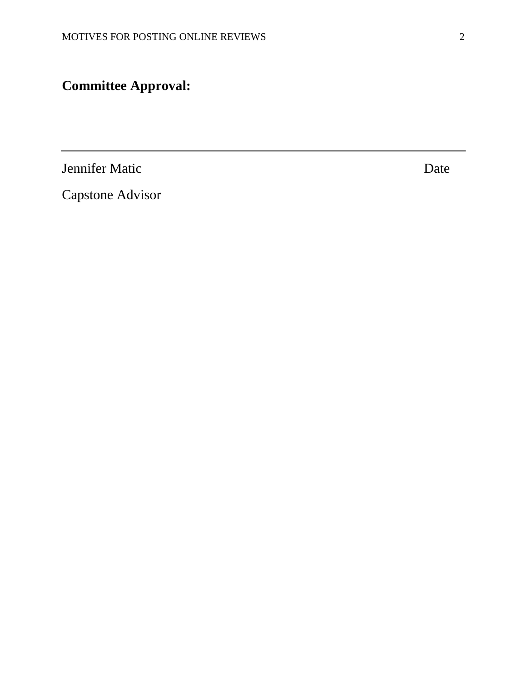## **Committee Approval:**

Jennifer Matic Date

Capstone Advisor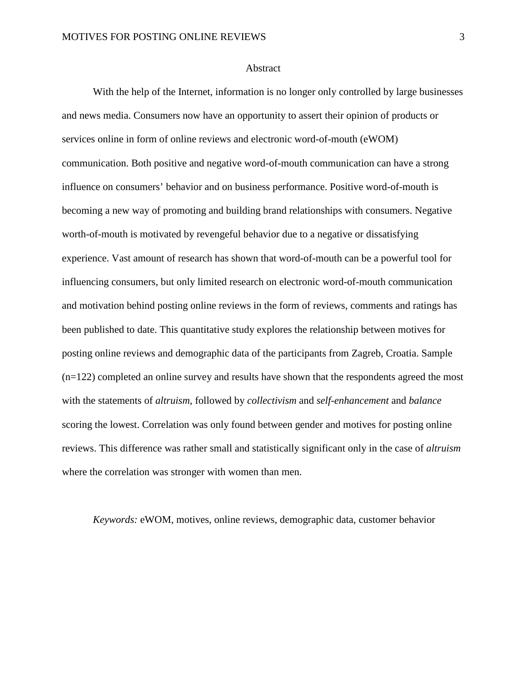#### Abstract

With the help of the Internet, information is no longer only controlled by large businesses and news media. Consumers now have an opportunity to assert their opinion of products or services online in form of online reviews and electronic word-of-mouth (eWOM) communication. Both positive and negative word-of-mouth communication can have a strong influence on consumers' behavior and on business performance. Positive word-of-mouth is becoming a new way of promoting and building brand relationships with consumers. Negative worth-of-mouth is motivated by revengeful behavior due to a negative or dissatisfying experience. Vast amount of research has shown that word-of-mouth can be a powerful tool for influencing consumers, but only limited research on electronic word-of-mouth communication and motivation behind posting online reviews in the form of reviews, comments and ratings has been published to date. This quantitative study explores the relationship between motives for posting online reviews and demographic data of the participants from Zagreb, Croatia. Sample (n=122) completed an online survey and results have shown that the respondents agreed the most with the statements of *altruism*, followed by *collectivism* and *self-enhancement* and *balance* scoring the lowest. Correlation was only found between gender and motives for posting online reviews. This difference was rather small and statistically significant only in the case of *altruism* where the correlation was stronger with women than men.

*Keywords:* eWOM, motives, online reviews, demographic data, customer behavior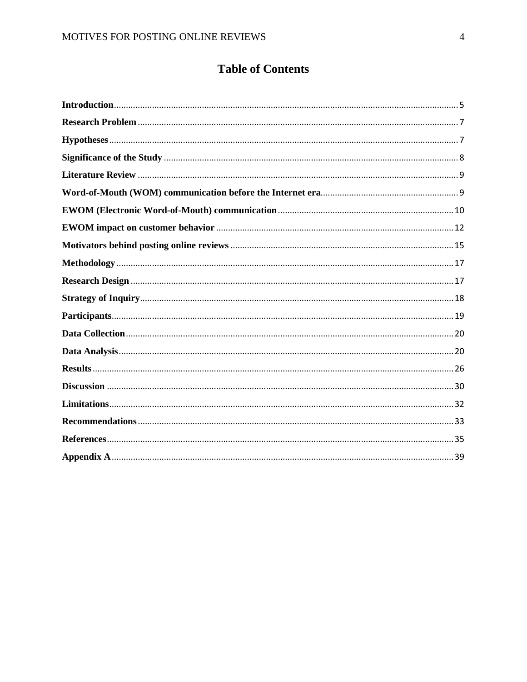### **Table of Contents**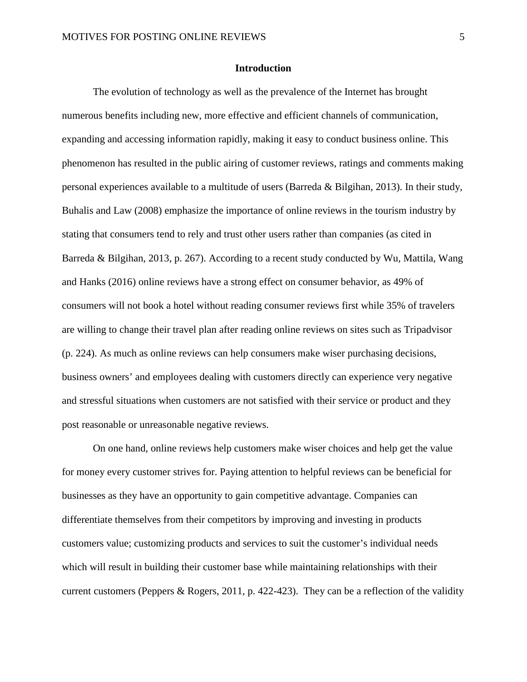#### **Introduction**

<span id="page-5-0"></span>The evolution of technology as well as the prevalence of the Internet has brought numerous benefits including new, more effective and efficient channels of communication, expanding and accessing information rapidly, making it easy to conduct business online. This phenomenon has resulted in the public airing of customer reviews, ratings and comments making personal experiences available to a multitude of users (Barreda & Bilgihan, 2013). In their study, Buhalis and Law (2008) emphasize the importance of online reviews in the tourism industry by stating that consumers tend to rely and trust other users rather than companies (as cited in Barreda & Bilgihan, 2013, p. 267). According to a recent study conducted by Wu, Mattila, Wang and Hanks (2016) online reviews have a strong effect on consumer behavior, as 49% of consumers will not book a hotel without reading consumer reviews first while 35% of travelers are willing to change their travel plan after reading online reviews on sites such as Tripadvisor (p. 224). As much as online reviews can help consumers make wiser purchasing decisions, business owners' and employees dealing with customers directly can experience very negative and stressful situations when customers are not satisfied with their service or product and they post reasonable or unreasonable negative reviews.

On one hand, online reviews help customers make wiser choices and help get the value for money every customer strives for. Paying attention to helpful reviews can be beneficial for businesses as they have an opportunity to gain competitive advantage. Companies can differentiate themselves from their competitors by improving and investing in products customers value; customizing products and services to suit the customer's individual needs which will result in building their customer base while maintaining relationships with their current customers (Peppers & Rogers, 2011, p. 422-423). They can be a reflection of the validity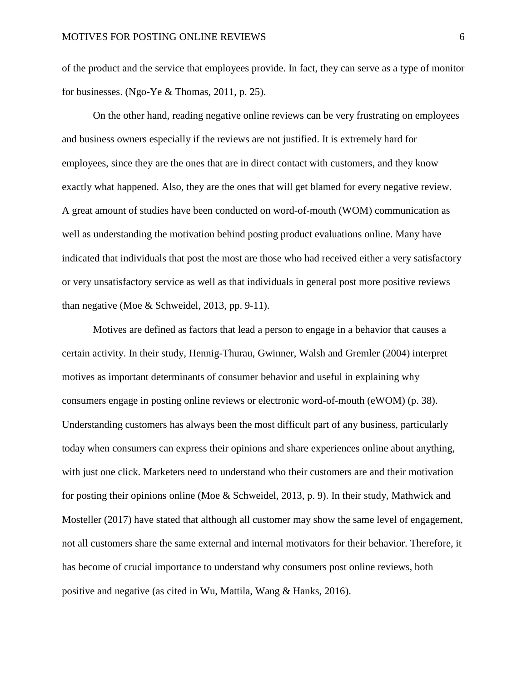of the product and the service that employees provide. In fact, they can serve as a type of monitor for businesses. (Ngo-Ye & Thomas, 2011, p. 25).

On the other hand, reading negative online reviews can be very frustrating on employees and business owners especially if the reviews are not justified. It is extremely hard for employees, since they are the ones that are in direct contact with customers, and they know exactly what happened. Also, they are the ones that will get blamed for every negative review. A great amount of studies have been conducted on word-of-mouth (WOM) communication as well as understanding the motivation behind posting product evaluations online. Many have indicated that individuals that post the most are those who had received either a very satisfactory or very unsatisfactory service as well as that individuals in general post more positive reviews than negative (Moe & Schweidel, 2013, pp. 9-11).

Motives are defined as factors that lead a person to engage in a behavior that causes a certain activity. In their study, Hennig-Thurau, Gwinner, Walsh and Gremler (2004) interpret motives as important determinants of consumer behavior and useful in explaining why consumers engage in posting online reviews or electronic word-of-mouth (eWOM) (p. 38). Understanding customers has always been the most difficult part of any business, particularly today when consumers can express their opinions and share experiences online about anything, with just one click. Marketers need to understand who their customers are and their motivation for posting their opinions online (Moe & Schweidel, 2013, p. 9). In their study, Mathwick and Mosteller (2017) have stated that although all customer may show the same level of engagement, not all customers share the same external and internal motivators for their behavior. Therefore, it has become of crucial importance to understand why consumers post online reviews, both positive and negative (as cited in Wu, Mattila, Wang & Hanks, 2016).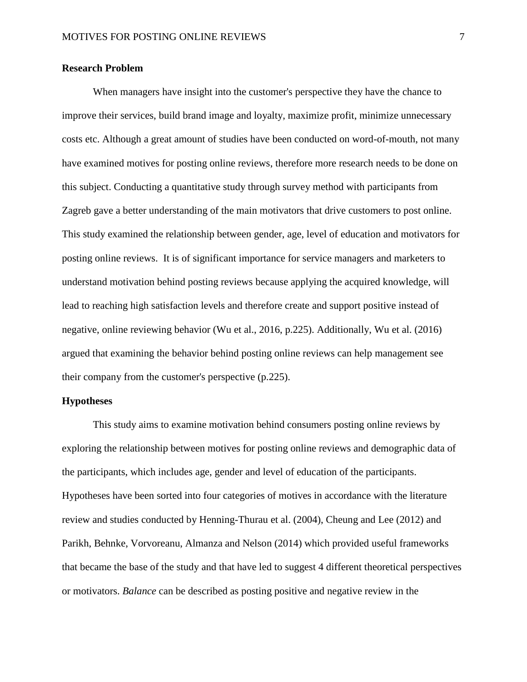#### <span id="page-7-0"></span>**Research Problem**

When managers have insight into the customer's perspective they have the chance to improve their services, build brand image and loyalty, maximize profit, minimize unnecessary costs etc. Although a great amount of studies have been conducted on word-of-mouth, not many have examined motives for posting online reviews, therefore more research needs to be done on this subject. Conducting a quantitative study through survey method with participants from Zagreb gave a better understanding of the main motivators that drive customers to post online. This study examined the relationship between gender, age, level of education and motivators for posting online reviews. It is of significant importance for service managers and marketers to understand motivation behind posting reviews because applying the acquired knowledge, will lead to reaching high satisfaction levels and therefore create and support positive instead of negative, online reviewing behavior (Wu et al., 2016, p.225). Additionally, Wu et al. (2016) argued that examining the behavior behind posting online reviews can help management see their company from the customer's perspective (p.225).

#### <span id="page-7-1"></span>**Hypotheses**

This study aims to examine motivation behind consumers posting online reviews by exploring the relationship between motives for posting online reviews and demographic data of the participants, which includes age, gender and level of education of the participants. Hypotheses have been sorted into four categories of motives in accordance with the literature review and studies conducted by Henning-Thurau et al. (2004), Cheung and Lee (2012) and Parikh, Behnke, Vorvoreanu, Almanza and Nelson (2014) which provided useful frameworks that became the base of the study and that have led to suggest 4 different theoretical perspectives or motivators. *Balance* can be described as posting positive and negative review in the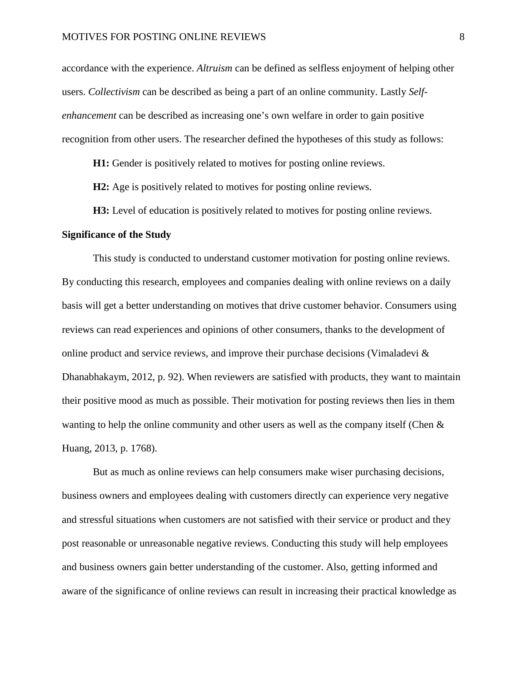accordance with the experience. *Altruism* can be defined as selfless enjoyment of helping other users. *Collectivism* can be described as being a part of an online community. Lastly *Selfenhancement* can be described as increasing one's own welfare in order to gain positive recognition from other users. The researcher defined the hypotheses of this study as follows:

**H1:** Gender is positively related to motives for posting online reviews.

**H2:** Age is positively related to motives for posting online reviews.

**H3:** Level of education is positively related to motives for posting online reviews.

#### <span id="page-8-0"></span>**Significance of the Study**

This study is conducted to understand customer motivation for posting online reviews. By conducting this research, employees and companies dealing with online reviews on a daily basis will get a better understanding on motives that drive customer behavior. Consumers using reviews can read experiences and opinions of other consumers, thanks to the development of online product and service reviews, and improve their purchase decisions (Vimaladevi & Dhanabhakaym, 2012, p. 92). When reviewers are satisfied with products, they want to maintain their positive mood as much as possible. Their motivation for posting reviews then lies in them wanting to help the online community and other users as well as the company itself (Chen  $\&$ Huang, 2013, p. 1768).

But as much as online reviews can help consumers make wiser purchasing decisions, business owners and employees dealing with customers directly can experience very negative and stressful situations when customers are not satisfied with their service or product and they post reasonable or unreasonable negative reviews. Conducting this study will help employees and business owners gain better understanding of the customer. Also, getting informed and aware of the significance of online reviews can result in increasing their practical knowledge as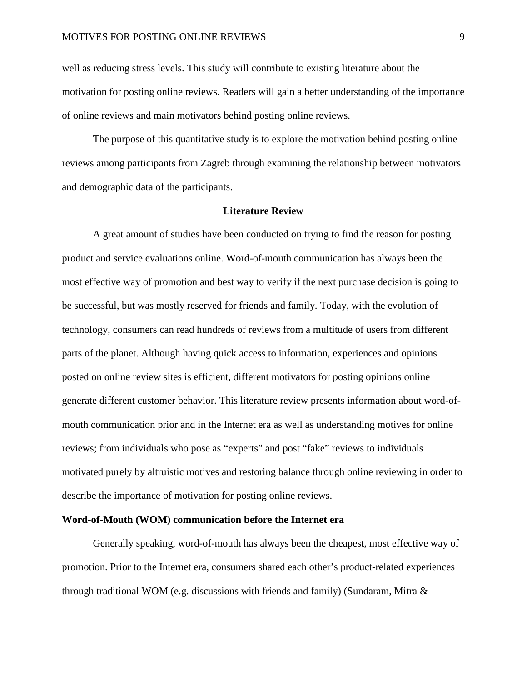well as reducing stress levels. This study will contribute to existing literature about the motivation for posting online reviews. Readers will gain a better understanding of the importance of online reviews and main motivators behind posting online reviews.

The purpose of this quantitative study is to explore the motivation behind posting online reviews among participants from Zagreb through examining the relationship between motivators and demographic data of the participants.

#### **Literature Review**

<span id="page-9-0"></span>A great amount of studies have been conducted on trying to find the reason for posting product and service evaluations online. Word-of-mouth communication has always been the most effective way of promotion and best way to verify if the next purchase decision is going to be successful, but was mostly reserved for friends and family. Today, with the evolution of technology, consumers can read hundreds of reviews from a multitude of users from different parts of the planet. Although having quick access to information, experiences and opinions posted on online review sites is efficient, different motivators for posting opinions online generate different customer behavior. This literature review presents information about word-ofmouth communication prior and in the Internet era as well as understanding motives for online reviews; from individuals who pose as "experts" and post "fake" reviews to individuals motivated purely by altruistic motives and restoring balance through online reviewing in order to describe the importance of motivation for posting online reviews.

#### <span id="page-9-1"></span>**Word-of-Mouth (WOM) communication before the Internet era**

Generally speaking, word-of-mouth has always been the cheapest, most effective way of promotion. Prior to the Internet era, consumers shared each other's product-related experiences through traditional WOM (e.g. discussions with friends and family) (Sundaram, Mitra  $\&$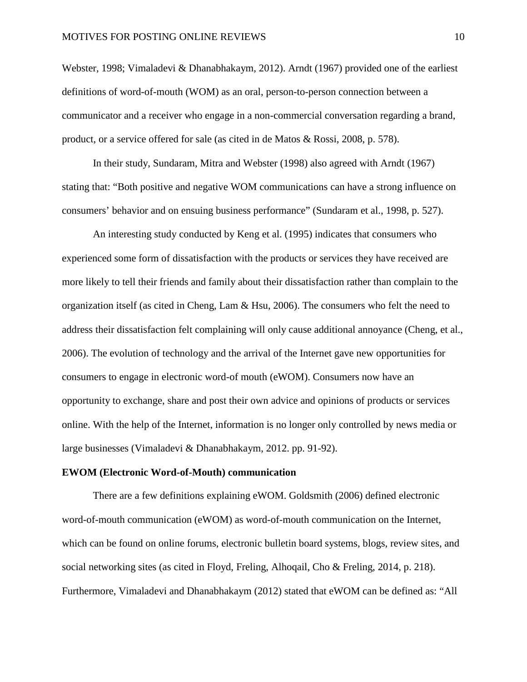Webster, 1998; Vimaladevi & Dhanabhakaym, 2012). Arndt (1967) provided one of the earliest definitions of word-of-mouth (WOM) as an oral, person-to-person connection between a communicator and a receiver who engage in a non-commercial conversation regarding a brand, product, or a service offered for sale (as cited in de Matos & Rossi, 2008, p. 578).

In their study, Sundaram, Mitra and Webster (1998) also agreed with Arndt (1967) stating that: "Both positive and negative WOM communications can have a strong influence on consumers' behavior and on ensuing business performance" (Sundaram et al., 1998, p. 527).

An interesting study conducted by Keng et al. (1995) indicates that consumers who experienced some form of dissatisfaction with the products or services they have received are more likely to tell their friends and family about their dissatisfaction rather than complain to the organization itself (as cited in Cheng, Lam & Hsu, 2006). The consumers who felt the need to address their dissatisfaction felt complaining will only cause additional annoyance (Cheng, et al., 2006). The evolution of technology and the arrival of the Internet gave new opportunities for consumers to engage in electronic word-of mouth (eWOM). Consumers now have an opportunity to exchange, share and post their own advice and opinions of products or services online. With the help of the Internet, information is no longer only controlled by news media or large businesses (Vimaladevi & Dhanabhakaym, 2012. pp. 91-92).

#### <span id="page-10-0"></span>**EWOM (Electronic Word-of-Mouth) communication**

There are a few definitions explaining eWOM. Goldsmith (2006) defined electronic word-of-mouth communication (eWOM) as word-of-mouth communication on the Internet, which can be found on online forums, electronic bulletin board systems, blogs, review sites, and social networking sites (as cited in Floyd, Freling, Alhoqail, Cho & Freling, 2014, p. 218). Furthermore, Vimaladevi and Dhanabhakaym (2012) stated that eWOM can be defined as: "All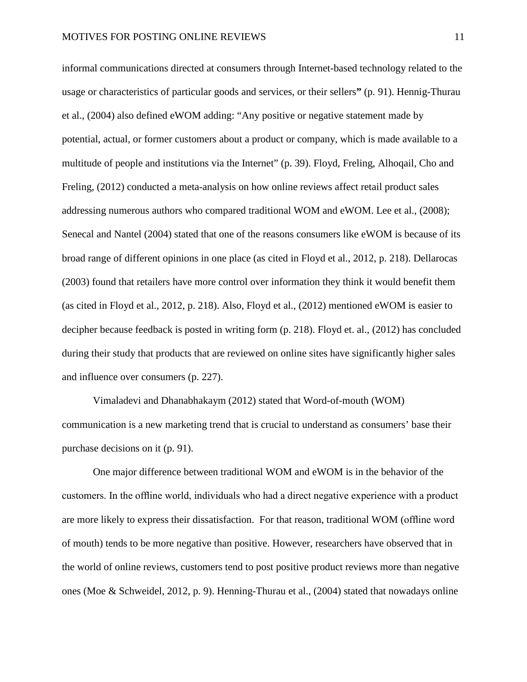informal communications directed at consumers through Internet-based technology related to the usage or characteristics of particular goods and services, or their sellers**"** (p. 91). Hennig-Thurau et al., (2004) also defined eWOM adding: "Any positive or negative statement made by potential, actual, or former customers about a product or company, which is made available to a multitude of people and institutions via the Internet" (p. 39). Floyd, Freling, Alhoqail, Cho and Freling, (2012) conducted a meta-analysis on how online reviews affect retail product sales addressing numerous authors who compared traditional WOM and eWOM. Lee et al., (2008); Senecal and Nantel (2004) stated that one of the reasons consumers like eWOM is because of its broad range of different opinions in one place (as cited in Floyd et al., 2012, p. 218). Dellarocas (2003) found that retailers have more control over information they think it would benefit them (as cited in Floyd et al., 2012, p. 218). Also, Floyd et al., (2012) mentioned eWOM is easier to decipher because feedback is posted in writing form (p. 218). Floyd et. al., (2012) has concluded during their study that products that are reviewed on online sites have significantly higher sales and influence over consumers (p. 227).

Vimaladevi and Dhanabhakaym (2012) stated that Word-of-mouth (WOM) communication is a new marketing trend that is crucial to understand as consumers' base their purchase decisions on it (p. 91).

One major difference between traditional WOM and eWOM is in the behavior of the customers. In the offline world, individuals who had a direct negative experience with a product are more likely to express their dissatisfaction. For that reason, traditional WOM (offline word of mouth) tends to be more negative than positive. However, researchers have observed that in the world of online reviews, customers tend to post positive product reviews more than negative ones (Moe & Schweidel, 2012, p. 9). Henning-Thurau et al., (2004) stated that nowadays online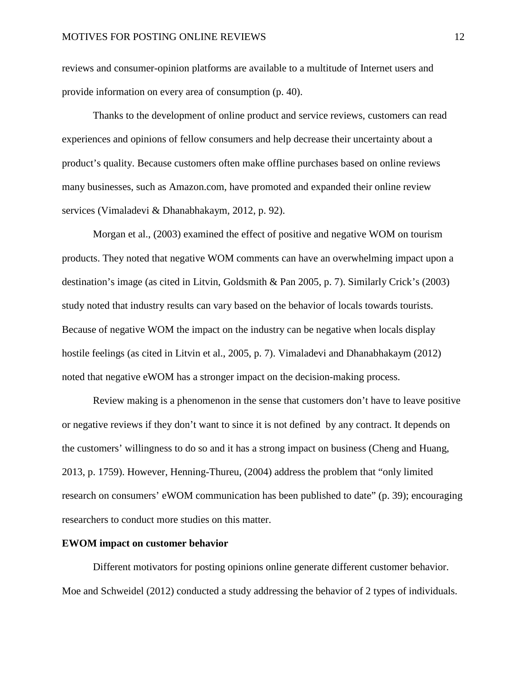reviews and consumer-opinion platforms are available to a multitude of Internet users and provide information on every area of consumption (p. 40).

Thanks to the development of online product and service reviews, customers can read experiences and opinions of fellow consumers and help decrease their uncertainty about a product's quality. Because customers often make offline purchases based on online reviews many businesses, such as Amazon.com, have promoted and expanded their online review services (Vimaladevi & Dhanabhakaym, 2012, p. 92).

Morgan et al., (2003) examined the effect of positive and negative WOM on tourism products. They noted that negative WOM comments can have an overwhelming impact upon a destination's image (as cited in Litvin, Goldsmith & Pan 2005, p. 7). Similarly Crick's (2003) study noted that industry results can vary based on the behavior of locals towards tourists. Because of negative WOM the impact on the industry can be negative when locals display hostile feelings (as cited in Litvin et al., 2005, p. 7). Vimaladevi and Dhanabhakaym (2012) noted that negative eWOM has a stronger impact on the decision-making process.

Review making is a phenomenon in the sense that customers don't have to leave positive or negative reviews if they don't want to since it is not defined by any contract. It depends on the customers' willingness to do so and it has a strong impact on business (Cheng and Huang, 2013, p. 1759). However, Henning-Thureu, (2004) address the problem that "only limited research on consumers' eWOM communication has been published to date" (p. 39); encouraging researchers to conduct more studies on this matter.

#### <span id="page-12-0"></span>**EWOM impact on customer behavior**

Different motivators for posting opinions online generate different customer behavior. Moe and Schweidel (2012) conducted a study addressing the behavior of 2 types of individuals.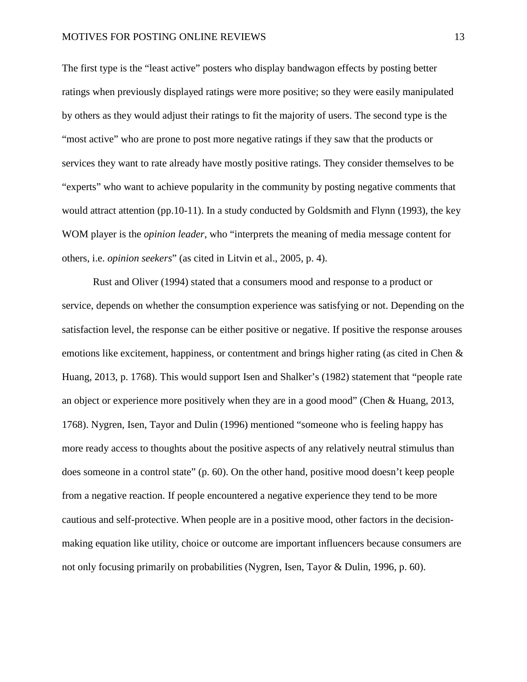The first type is the "least active" posters who display bandwagon effects by posting better ratings when previously displayed ratings were more positive; so they were easily manipulated by others as they would adjust their ratings to fit the majority of users. The second type is the "most active" who are prone to post more negative ratings if they saw that the products or services they want to rate already have mostly positive ratings. They consider themselves to be "experts" who want to achieve popularity in the community by posting negative comments that would attract attention (pp.10-11). In a study conducted by Goldsmith and Flynn (1993), the key WOM player is the *opinion leader*, who "interprets the meaning of media message content for others, i.e. *opinion seekers*" (as cited in Litvin et al., 2005, p. 4).

Rust and Oliver (1994) stated that a consumers mood and response to a product or service, depends on whether the consumption experience was satisfying or not. Depending on the satisfaction level, the response can be either positive or negative. If positive the response arouses emotions like excitement, happiness, or contentment and brings higher rating (as cited in Chen & Huang, 2013, p. 1768). This would support Isen and Shalker's (1982) statement that "people rate an object or experience more positively when they are in a good mood" (Chen & Huang, 2013, 1768). Nygren, Isen, Tayor and Dulin (1996) mentioned "someone who is feeling happy has more ready access to thoughts about the positive aspects of any relatively neutral stimulus than does someone in a control state" (p. 60). On the other hand, positive mood doesn't keep people from a negative reaction. If people encountered a negative experience they tend to be more cautious and self-protective. When people are in a positive mood, other factors in the decisionmaking equation like utility, choice or outcome are important influencers because consumers are not only focusing primarily on probabilities (Nygren, Isen, Tayor & Dulin, 1996, p. 60).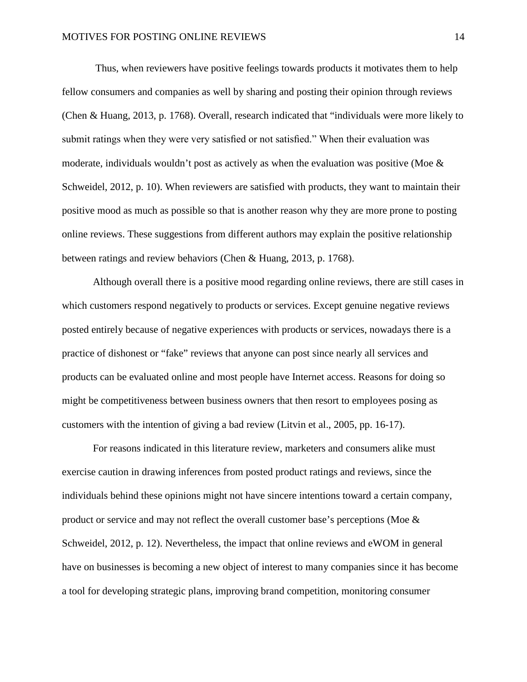Thus, when reviewers have positive feelings towards products it motivates them to help fellow consumers and companies as well by sharing and posting their opinion through reviews (Chen & Huang, 2013, p. 1768). Overall, research indicated that "individuals were more likely to submit ratings when they were very satisfied or not satisfied." When their evaluation was moderate, individuals wouldn't post as actively as when the evaluation was positive (Moe  $\&$ Schweidel, 2012, p. 10). When reviewers are satisfied with products, they want to maintain their positive mood as much as possible so that is another reason why they are more prone to posting online reviews. These suggestions from different authors may explain the positive relationship between ratings and review behaviors (Chen & Huang, 2013, p. 1768).

Although overall there is a positive mood regarding online reviews, there are still cases in which customers respond negatively to products or services. Except genuine negative reviews posted entirely because of negative experiences with products or services, nowadays there is a practice of dishonest or "fake" reviews that anyone can post since nearly all services and products can be evaluated online and most people have Internet access. Reasons for doing so might be competitiveness between business owners that then resort to employees posing as customers with the intention of giving a bad review (Litvin et al., 2005, pp. 16-17).

For reasons indicated in this literature review, marketers and consumers alike must exercise caution in drawing inferences from posted product ratings and reviews, since the individuals behind these opinions might not have sincere intentions toward a certain company, product or service and may not reflect the overall customer base's perceptions (Moe & Schweidel, 2012, p. 12). Nevertheless, the impact that online reviews and eWOM in general have on businesses is becoming a new object of interest to many companies since it has become a tool for developing strategic plans, improving brand competition, monitoring consumer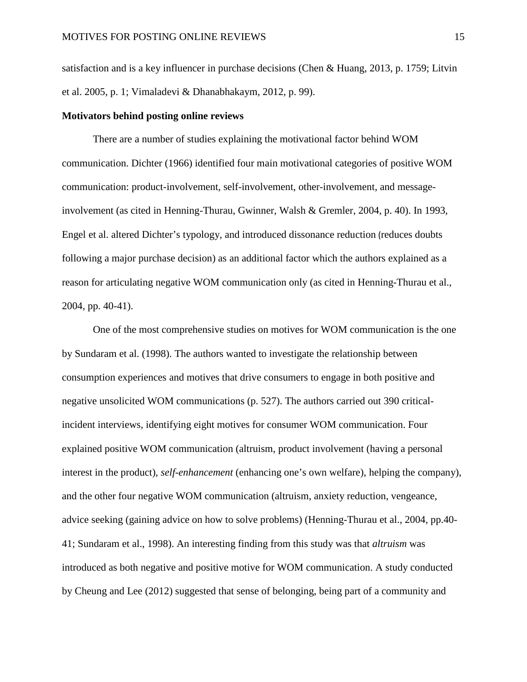satisfaction and is a key influencer in purchase decisions (Chen & Huang, 2013, p. 1759; Litvin et al. 2005, p. 1; Vimaladevi & Dhanabhakaym, 2012, p. 99).

#### <span id="page-15-0"></span>**Motivators behind posting online reviews**

There are a number of studies explaining the motivational factor behind WOM communication. Dichter (1966) identified four main motivational categories of positive WOM communication: product-involvement, self-involvement, other-involvement, and messageinvolvement (as cited in Henning-Thurau, Gwinner, Walsh & Gremler, 2004, p. 40). In 1993, Engel et al. altered Dichter's typology, and introduced dissonance reduction (reduces doubts following a major purchase decision) as an additional factor which the authors explained as a reason for articulating negative WOM communication only (as cited in Henning-Thurau et al., 2004, pp. 40-41).

One of the most comprehensive studies on motives for WOM communication is the one by Sundaram et al. (1998). The authors wanted to investigate the relationship between consumption experiences and motives that drive consumers to engage in both positive and negative unsolicited WOM communications (p. 527). The authors carried out 390 criticalincident interviews, identifying eight motives for consumer WOM communication. Four explained positive WOM communication (altruism, product involvement (having a personal interest in the product), *self-enhancement* (enhancing one's own welfare), helping the company), and the other four negative WOM communication (altruism, anxiety reduction, vengeance, advice seeking (gaining advice on how to solve problems) (Henning-Thurau et al., 2004, pp.40- 41; Sundaram et al., 1998). An interesting finding from this study was that *altruism* was introduced as both negative and positive motive for WOM communication. A study conducted by Cheung and Lee (2012) suggested that sense of belonging, being part of a community and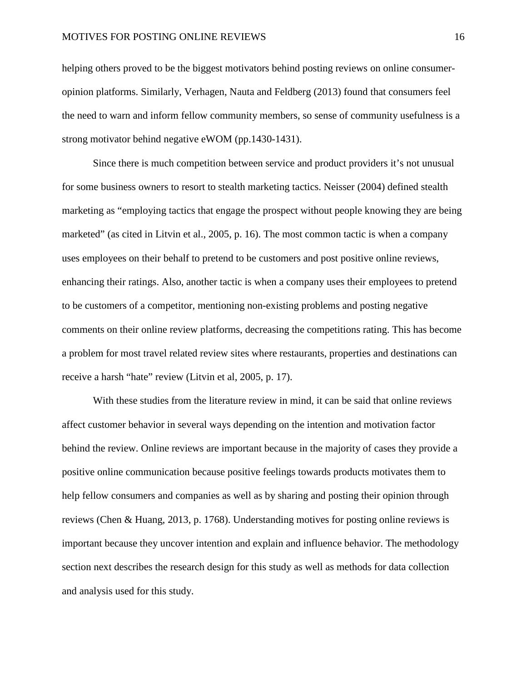helping others proved to be the biggest motivators behind posting reviews on online consumeropinion platforms. Similarly, Verhagen, Nauta and Feldberg (2013) found that consumers feel the need to warn and inform fellow community members, so sense of community usefulness is a strong motivator behind negative eWOM (pp.1430-1431).

Since there is much competition between service and product providers it's not unusual for some business owners to resort to stealth marketing tactics. Neisser (2004) defined stealth marketing as "employing tactics that engage the prospect without people knowing they are being marketed" (as cited in Litvin et al., 2005, p. 16). The most common tactic is when a company uses employees on their behalf to pretend to be customers and post positive online reviews, enhancing their ratings. Also, another tactic is when a company uses their employees to pretend to be customers of a competitor, mentioning non-existing problems and posting negative comments on their online review platforms, decreasing the competitions rating. This has become a problem for most travel related review sites where restaurants, properties and destinations can receive a harsh "hate" review (Litvin et al, 2005, p. 17).

With these studies from the literature review in mind, it can be said that online reviews affect customer behavior in several ways depending on the intention and motivation factor behind the review. Online reviews are important because in the majority of cases they provide a positive online communication because positive feelings towards products motivates them to help fellow consumers and companies as well as by sharing and posting their opinion through reviews (Chen & Huang, 2013, p. 1768). Understanding motives for posting online reviews is important because they uncover intention and explain and influence behavior. The methodology section next describes the research design for this study as well as methods for data collection and analysis used for this study.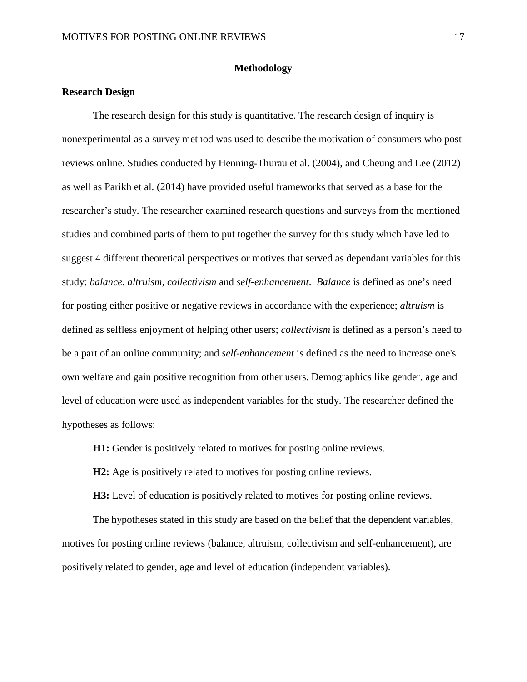#### **Methodology**

#### <span id="page-17-1"></span><span id="page-17-0"></span>**Research Design**

The research design for this study is quantitative. The research design of inquiry is nonexperimental as a survey method was used to describe the motivation of consumers who post reviews online. Studies conducted by Henning-Thurau et al. (2004), and Cheung and Lee (2012) as well as Parikh et al. (2014) have provided useful frameworks that served as a base for the researcher's study. The researcher examined research questions and surveys from the mentioned studies and combined parts of them to put together the survey for this study which have led to suggest 4 different theoretical perspectives or motives that served as dependant variables for this study: *balance, altruism, collectivism* and *self-enhancement*. *Balance* is defined as one's need for posting either positive or negative reviews in accordance with the experience; *altruism* is defined as selfless enjoyment of helping other users; *collectivism* is defined as a person's need to be a part of an online community; and *self-enhancement* is defined as the need to increase one's own welfare and gain positive recognition from other users. Demographics like gender, age and level of education were used as independent variables for the study. The researcher defined the hypotheses as follows:

**H1:** Gender is positively related to motives for posting online reviews.

**H2:** Age is positively related to motives for posting online reviews.

**H3:** Level of education is positively related to motives for posting online reviews.

The hypotheses stated in this study are based on the belief that the dependent variables, motives for posting online reviews (balance, altruism, collectivism and self-enhancement), are positively related to gender, age and level of education (independent variables).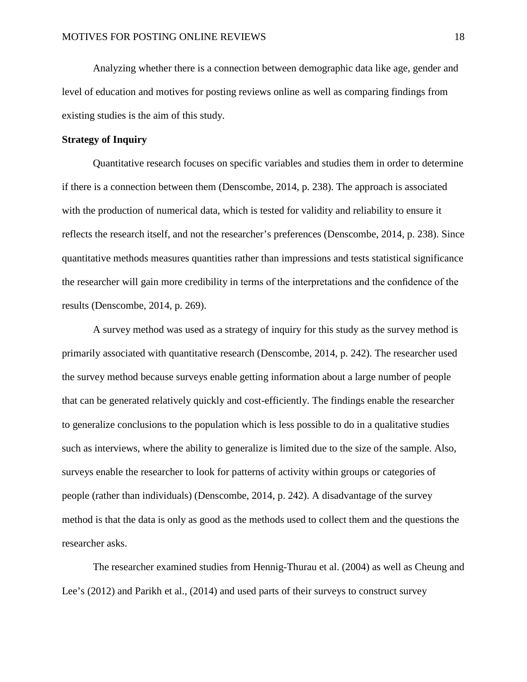Analyzing whether there is a connection between demographic data like age, gender and level of education and motives for posting reviews online as well as comparing findings from existing studies is the aim of this study.

#### <span id="page-18-0"></span>**Strategy of Inquiry**

Quantitative research focuses on specific variables and studies them in order to determine if there is a connection between them (Denscombe, 2014, p. 238). The approach is associated with the production of numerical data, which is tested for validity and reliability to ensure it reflects the research itself, and not the researcher's preferences (Denscombe, 2014, p. 238). Since quantitative methods measures quantities rather than impressions and tests statistical significance the researcher will gain more credibility in terms of the interpretations and the confidence of the results (Denscombe, 2014, p. 269).

A survey method was used as a strategy of inquiry for this study as the survey method is primarily associated with quantitative research (Denscombe, 2014, p. 242). The researcher used the survey method because surveys enable getting information about a large number of people that can be generated relatively quickly and cost-efficiently. The findings enable the researcher to generalize conclusions to the population which is less possible to do in a qualitative studies such as interviews, where the ability to generalize is limited due to the size of the sample. Also, surveys enable the researcher to look for patterns of activity within groups or categories of people (rather than individuals) (Denscombe, 2014, p. 242). A disadvantage of the survey method is that the data is only as good as the methods used to collect them and the questions the researcher asks.

The researcher examined studies from Hennig-Thurau et al. (2004) as well as Cheung and Lee's (2012) and Parikh et al., (2014) and used parts of their surveys to construct survey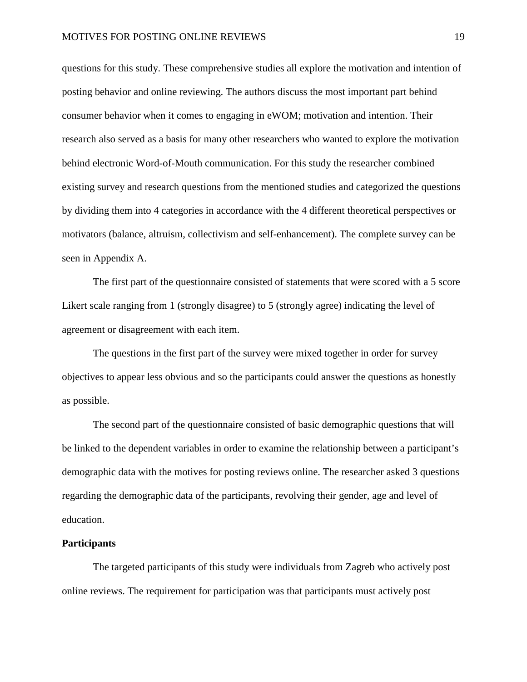questions for this study. These comprehensive studies all explore the motivation and intention of posting behavior and online reviewing. The authors discuss the most important part behind consumer behavior when it comes to engaging in eWOM; motivation and intention. Their research also served as a basis for many other researchers who wanted to explore the motivation behind electronic Word-of-Mouth communication. For this study the researcher combined existing survey and research questions from the mentioned studies and categorized the questions by dividing them into 4 categories in accordance with the 4 different theoretical perspectives or motivators (balance, altruism, collectivism and self-enhancement). The complete survey can be seen in Appendix A.

The first part of the questionnaire consisted of statements that were scored with a 5 score Likert scale ranging from 1 (strongly disagree) to 5 (strongly agree) indicating the level of agreement or disagreement with each item.

The questions in the first part of the survey were mixed together in order for survey objectives to appear less obvious and so the participants could answer the questions as honestly as possible.

The second part of the questionnaire consisted of basic demographic questions that will be linked to the dependent variables in order to examine the relationship between a participant's demographic data with the motives for posting reviews online. The researcher asked 3 questions regarding the demographic data of the participants, revolving their gender, age and level of education.

#### <span id="page-19-0"></span>**Participants**

The targeted participants of this study were individuals from Zagreb who actively post online reviews. The requirement for participation was that participants must actively post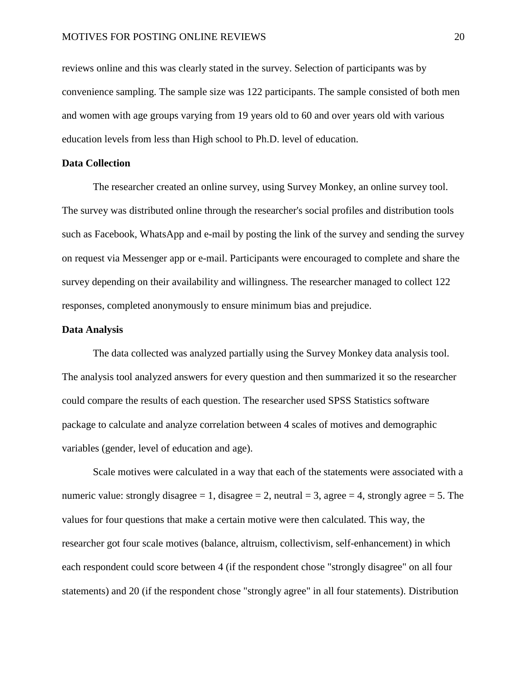reviews online and this was clearly stated in the survey. Selection of participants was by convenience sampling. The sample size was 122 participants. The sample consisted of both men and women with age groups varying from 19 years old to 60 and over years old with various education levels from less than High school to Ph.D. level of education.

#### <span id="page-20-0"></span>**Data Collection**

The researcher created an online survey, using Survey Monkey, an online survey tool. The survey was distributed online through the researcher's social profiles and distribution tools such as Facebook, WhatsApp and e-mail by posting the link of the survey and sending the survey on request via Messenger app or e-mail. Participants were encouraged to complete and share the survey depending on their availability and willingness. The researcher managed to collect 122 responses, completed anonymously to ensure minimum bias and prejudice.

#### <span id="page-20-1"></span>**Data Analysis**

The data collected was analyzed partially using the Survey Monkey data analysis tool. The analysis tool analyzed answers for every question and then summarized it so the researcher could compare the results of each question. The researcher used SPSS Statistics software package to calculate and analyze correlation between 4 scales of motives and demographic variables (gender, level of education and age).

Scale motives were calculated in a way that each of the statements were associated with a numeric value: strongly disagree = 1, disagree = 2, neutral = 3, agree = 4, strongly agree = 5. The values for four questions that make a certain motive were then calculated. This way, the researcher got four scale motives (balance, altruism, collectivism, self-enhancement) in which each respondent could score between 4 (if the respondent chose "strongly disagree" on all four statements) and 20 (if the respondent chose "strongly agree" in all four statements). Distribution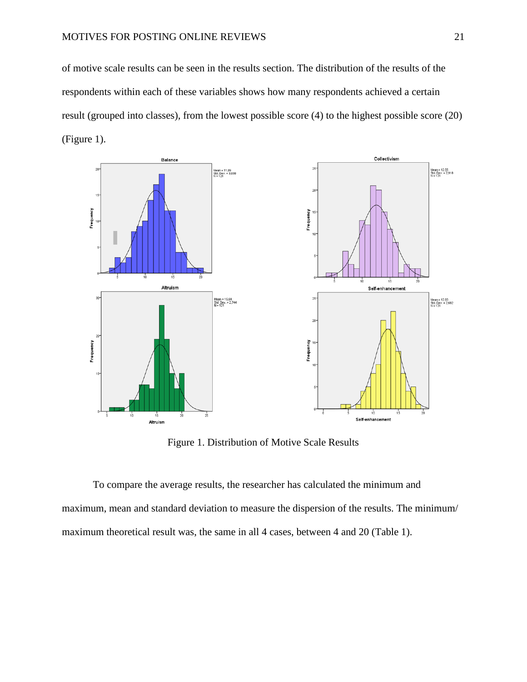of motive scale results can be seen in the results section. The distribution of the results of the respondents within each of these variables shows how many respondents achieved a certain result (grouped into classes), from the lowest possible score (4) to the highest possible score (20) (Figure 1).



Figure 1. Distribution of Motive Scale Results

To compare the average results, the researcher has calculated the minimum and maximum, mean and standard deviation to measure the dispersion of the results. The minimum/ maximum theoretical result was, the same in all 4 cases, between 4 and 20 (Table 1).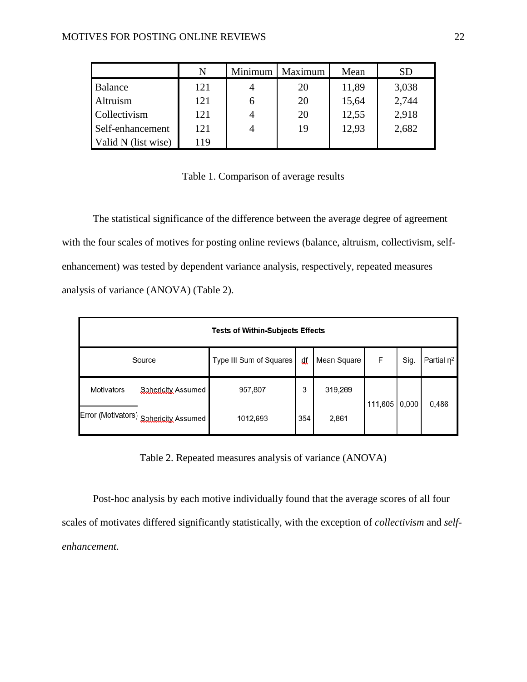|                     | N   | Minimum | Maximum | Mean  |       |
|---------------------|-----|---------|---------|-------|-------|
| Balance             | 121 |         | 20      | 11,89 | 3,038 |
| Altruism            | 121 | h       | 20      | 15,64 | 2,744 |
| Collectivism        | 121 |         | 20      | 12,55 | 2,918 |
| Self-enhancement    | 121 |         | 19      | 12,93 | 2,682 |
| Valid N (list wise) | 119 |         |         |       |       |

|  | Table 1. Comparison of average results |  |  |
|--|----------------------------------------|--|--|
|  |                                        |  |  |

The statistical significance of the difference between the average degree of agreement with the four scales of motives for posting online reviews (balance, altruism, collectivism, selfenhancement) was tested by dependent variance analysis, respectively, repeated measures analysis of variance (ANOVA) (Table 2).

| <b>Tests of Within-Subjects Effects</b> |                         |     |             |               |      |                  |  |  |  |
|-----------------------------------------|-------------------------|-----|-------------|---------------|------|------------------|--|--|--|
| Source                                  | Type III Sum of Squares | df  | Mean Square | F             | Sig. | Partial $\eta^2$ |  |  |  |
| Sphericity Assumed<br><b>Motivators</b> | 957,807                 | 3   | 319,269     |               |      |                  |  |  |  |
| Error (Motivators) Sphericity Assumed   | 1012,693                | 354 | 2,861       | 111,605 0,000 |      | 0,486            |  |  |  |

Table 2. Repeated measures analysis of variance (ANOVA)

Post-hoc analysis by each motive individually found that the average scores of all four scales of motivates differed significantly statistically, with the exception of *collectivism* and *selfenhancement*.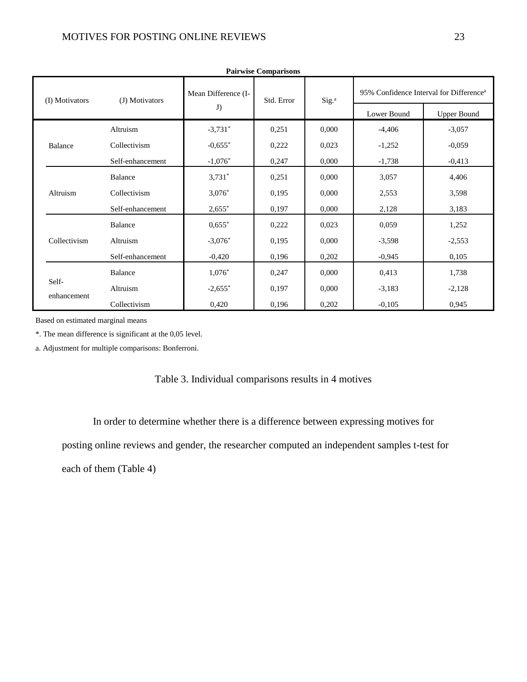| <b>Pairwise Comparisons</b> |                  |                       |            |                   |                                                     |                    |  |  |
|-----------------------------|------------------|-----------------------|------------|-------------------|-----------------------------------------------------|--------------------|--|--|
| (I) Motivators              | (J) Motivators   | Mean Difference (I-   | Std. Error | Sig. <sup>a</sup> | 95% Confidence Interval for Difference <sup>a</sup> |                    |  |  |
|                             |                  | $\mathbf{J})$         |            |                   | Lower Bound                                         | <b>Upper Bound</b> |  |  |
|                             | Altruism         | $-3,731$ *            | 0,251      | 0,000             | $-4,406$                                            | $-3,057$           |  |  |
| Balance                     | Collectivism     | $-0,655$ *            | 0,222      | 0,023             | $-1,252$                                            | $-0.059$           |  |  |
|                             | Self-enhancement | $-1,076*$             | 0,247      | 0,000             | $-1,738$                                            | $-0,413$           |  |  |
|                             | Balance          | $3,731*$              | 0,251      | 0,000             | 3,057                                               | 4,406              |  |  |
| Altruism                    | Collectivism     | $3,076*$              | 0,195      | 0,000             | 2,553                                               | 3,598              |  |  |
|                             | Self-enhancement | $2,655$ *             | 0,197      | 0,000             | 2,128                                               | 3,183              |  |  |
|                             | Balance          | $0,655$ *             | 0,222      | 0,023             | 0,059                                               | 1,252              |  |  |
| Collectivism                | Altruism         | $-3,076$ *            | 0,195      | 0,000             | $-3,598$                                            | $-2,553$           |  |  |
|                             | Self-enhancement | $-0,420$              | 0,196      | 0,202             | $-0,945$                                            | 0,105              |  |  |
|                             | Balance          | $1,076*$              | 0,247      | 0,000             | 0,413                                               | 1,738              |  |  |
| Self-<br>enhancement        | Altruism         | $-2,655$ <sup>*</sup> | 0,197      | 0,000             | $-3,183$                                            | $-2,128$           |  |  |
|                             | Collectivism     | 0,420                 | 0,196      | 0,202             | $-0,105$                                            | 0,945              |  |  |

Based on estimated marginal means

\*. The mean difference is significant at the 0,05 level.

a. Adjustment for multiple comparisons: Bonferroni.

#### Table 3. Individual comparisons results in 4 motives

In order to determine whether there is a difference between expressing motives for

posting online reviews and gender, the researcher computed an independent samples t-test for

each of them (Table 4)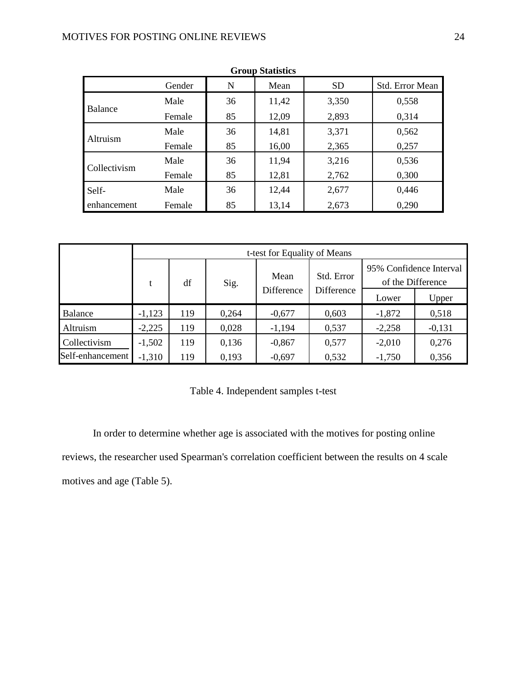| <b>Group Statistics</b> |        |    |       |           |                        |  |  |  |  |
|-------------------------|--------|----|-------|-----------|------------------------|--|--|--|--|
|                         | Gender | N  | Mean  | <b>SD</b> | <b>Std. Error Mean</b> |  |  |  |  |
|                         | Male   | 36 | 11,42 | 3,350     | 0,558                  |  |  |  |  |
| Balance                 | Female | 85 | 12,09 | 2,893     | 0,314                  |  |  |  |  |
| Altruism                | Male   | 36 | 14,81 | 3,371     | 0,562                  |  |  |  |  |
|                         | Female | 85 | 16,00 | 2,365     | 0,257                  |  |  |  |  |
|                         | Male   | 36 | 11,94 | 3,216     | 0,536                  |  |  |  |  |
| Collectivism            | Female | 85 | 12,81 | 2,762     | 0,300                  |  |  |  |  |
| Self-                   | Male   | 36 | 12,44 | 2,677     | 0,446                  |  |  |  |  |
| enhancement             | Female | 85 | 13,14 | 2,673     | 0,290                  |  |  |  |  |

|                  | t-test for Equality of Means |            |       |          |            |                                              |          |  |  |
|------------------|------------------------------|------------|-------|----------|------------|----------------------------------------------|----------|--|--|
|                  | t                            | df         | Sig.  | Mean     | Std. Error | 95% Confidence Interval<br>of the Difference |          |  |  |
|                  | Difference                   | Difference | Lower | Upper    |            |                                              |          |  |  |
| Balance          | $-1,123$                     | 119        | 0,264 | $-0,677$ | 0,603      | $-1,872$                                     | 0,518    |  |  |
| Altruism         | $-2,225$                     | 119        | 0,028 | $-1,194$ | 0,537      | $-2,258$                                     | $-0,131$ |  |  |
| Collectivism     | $-1,502$                     | 119        | 0,136 | $-0,867$ | 0,577      | $-2,010$                                     | 0,276    |  |  |
| Self-enhancement | $-1,310$                     | 119        | 0,193 | $-0,697$ | 0,532      | $-1,750$                                     | 0,356    |  |  |

Table 4. Independent samples t-test

In order to determine whether age is associated with the motives for posting online reviews, the researcher used Spearman's correlation coefficient between the results on 4 scale motives and age (Table 5).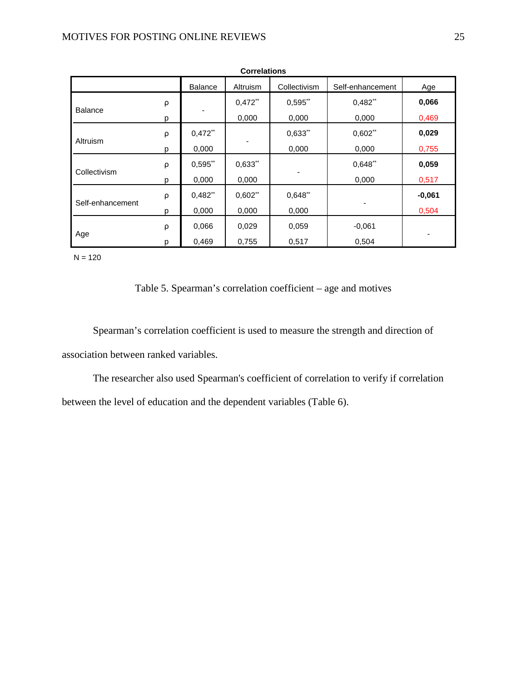| <b>Correlations</b> |                                                                       |            |            |                       |            |          |  |  |  |  |  |
|---------------------|-----------------------------------------------------------------------|------------|------------|-----------------------|------------|----------|--|--|--|--|--|
|                     | <b>Balance</b><br>Collectivism<br>Altruism<br>Self-enhancement<br>Age |            |            |                       |            |          |  |  |  |  |  |
|                     | ρ                                                                     |            | $0,472$ ** | $0,595$ **            | $0,482$ ** | 0,066    |  |  |  |  |  |
| <b>Balance</b>      | р                                                                     |            | 0,000      | 0,000                 | 0,000      | 0,469    |  |  |  |  |  |
|                     | ρ                                                                     | $0,472$ ** |            | $0,633$ <sup>**</sup> | $0,602$ ** | 0,029    |  |  |  |  |  |
| Altruism            | p                                                                     | 0,000      | -          | 0,000                 | 0,000      | 0,755    |  |  |  |  |  |
|                     | ρ                                                                     | 0,595"     | 0,633"     |                       | 0,648"     | 0,059    |  |  |  |  |  |
| Collectivism        | р                                                                     | 0,000      | 0,000      |                       | 0,000      | 0,517    |  |  |  |  |  |
|                     | ρ                                                                     | $0,482$ ** | $0,602$ ** | 0,648"                |            | $-0,061$ |  |  |  |  |  |
| Self-enhancement    | р                                                                     | 0,000      | 0,000      | 0,000                 |            | 0,504    |  |  |  |  |  |
|                     | ρ                                                                     | 0,066      | 0,029      | 0,059                 | -0,061     |          |  |  |  |  |  |
| Age                 | p                                                                     | 0,469      | 0,755      | 0,517                 | 0,504      | ۰        |  |  |  |  |  |

 $N = 120$ 

#### Table 5. Spearman's correlation coefficient – age and motives

Spearman's correlation coefficient is used to measure the strength and direction of association between ranked variables.

The researcher also used Spearman's coefficient of correlation to verify if correlation between the level of education and the dependent variables (Table 6).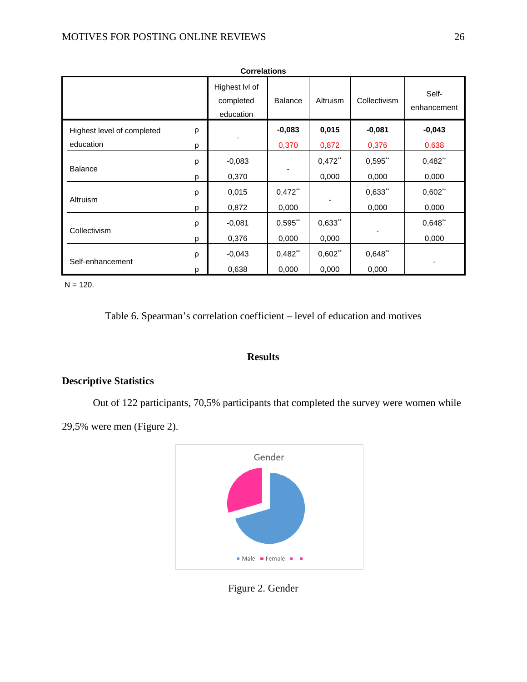| <b>Correlations</b>        |   |                                          |                       |            |              |                      |  |  |  |
|----------------------------|---|------------------------------------------|-----------------------|------------|--------------|----------------------|--|--|--|
|                            |   | Highest IvI of<br>completed<br>education | <b>Balance</b>        | Altruism   | Collectivism | Self-<br>enhancement |  |  |  |
| Highest level of completed | ρ |                                          | $-0,083$              | 0,015      | $-0.081$     | $-0.043$             |  |  |  |
| education                  | p |                                          | 0,370                 | 0,872      | 0,376        | 0,638                |  |  |  |
| <b>Balance</b>             | ρ | $-0,083$                                 |                       | $0,472$ ** | $0,595$ **   | 0,482"               |  |  |  |
|                            | D | 0,370                                    |                       | 0,000      | 0,000        | 0,000                |  |  |  |
| Altruism                   | ρ | 0,015                                    | $0,472$ **            |            | $0,633$ **   | 0,602"               |  |  |  |
|                            | p | 0,872                                    | 0,000                 |            | 0,000        | 0,000                |  |  |  |
| Collectivism               | ρ | $-0.081$                                 | $0,595$ **            | $0,633$ ** |              | 0,648"               |  |  |  |
|                            | p | 0,376                                    | 0,000                 | 0,000      |              | 0,000                |  |  |  |
| Self-enhancement           | ρ | $-0,043$                                 | $0,482$ <sup>**</sup> | $0,602$ ** | $0,648$ **   |                      |  |  |  |
|                            | p | 0,638                                    | 0,000                 | 0,000      | 0,000        |                      |  |  |  |

 $N = 120.$ 

Table 6. Spearman's correlation coefficient – level of education and motives

#### **Results**

#### <span id="page-26-0"></span>**Descriptive Statistics**

Out of 122 participants, 70,5% participants that completed the survey were women while

29,5% were men (Figure 2).



Figure 2. Gender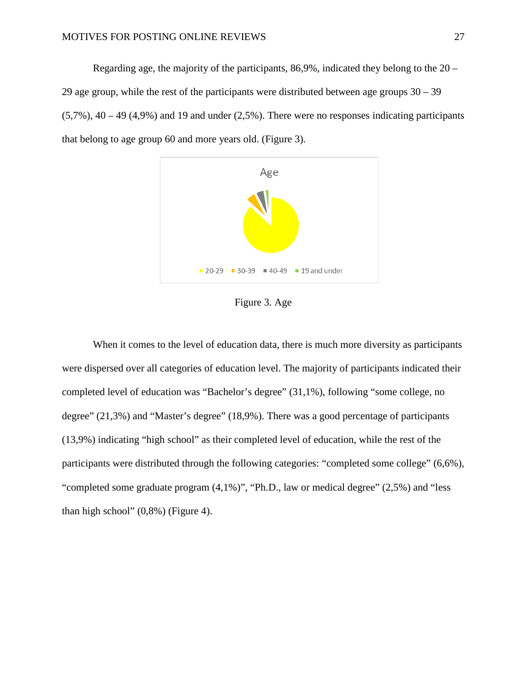Regarding age, the majority of the participants, 86,9%, indicated they belong to the 20 – 29 age group, while the rest of the participants were distributed between age groups 30 – 39  $(5,7\%)$ , 40 – 49 (4,9%) and 19 and under (2,5%). There were no responses indicating participants that belong to age group 60 and more years old. (Figure 3).



Figure 3. Age

When it comes to the level of education data, there is much more diversity as participants were dispersed over all categories of education level. The majority of participants indicated their completed level of education was "Bachelor's degree" (31,1%), following "some college, no degree" (21,3%) and "Master's degree" (18,9%). There was a good percentage of participants (13,9%) indicating "high school" as their completed level of education, while the rest of the participants were distributed through the following categories: "completed some college" (6,6%), "completed some graduate program (4,1%)", "Ph.D., law or medical degree" (2,5%) and "less than high school"  $(0,8\%)$  (Figure 4).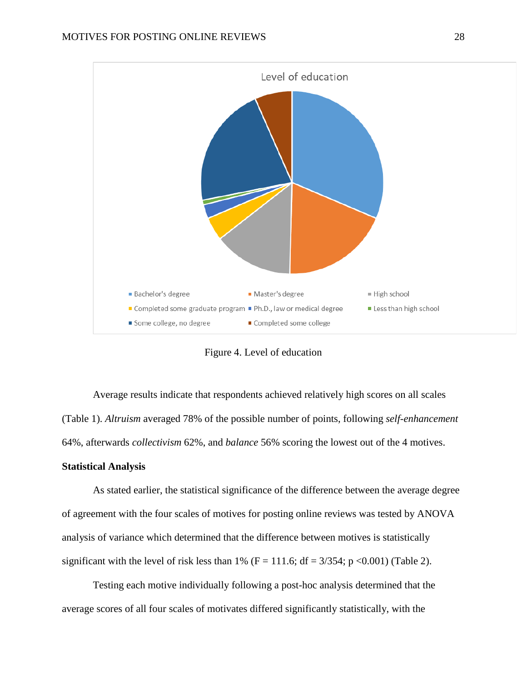

Figure 4. Level of education

Average results indicate that respondents achieved relatively high scores on all scales (Table 1). *Altruism* averaged 78% of the possible number of points, following *self-enhancement* 64%, afterwards *collectivism* 62%, and *balance* 56% scoring the lowest out of the 4 motives.

#### **Statistical Analysis**

As stated earlier, the statistical significance of the difference between the average degree of agreement with the four scales of motives for posting online reviews was tested by ANOVA analysis of variance which determined that the difference between motives is statistically significant with the level of risk less than 1% ( $F = 111.6$ ;  $df = 3/354$ ; p <0.001) (Table 2).

Testing each motive individually following a post-hoc analysis determined that the average scores of all four scales of motivates differed significantly statistically, with the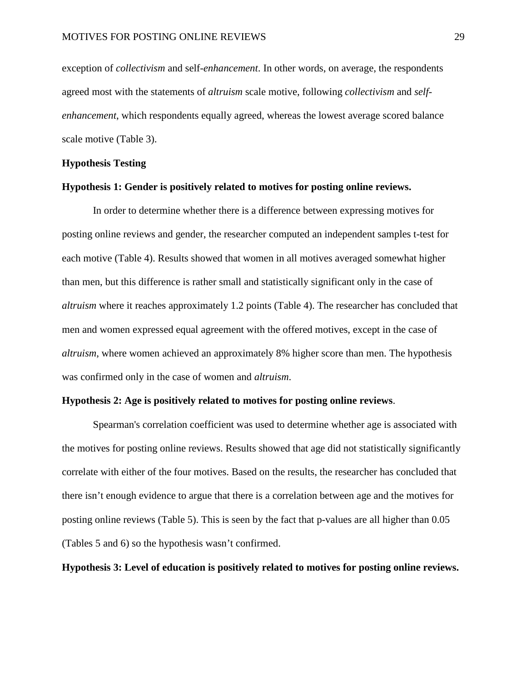exception of *collectivism* and self-*enhancement*. In other words, on average, the respondents agreed most with the statements of *altruism* scale motive, following *collectivism* and *selfenhancement*, which respondents equally agreed, whereas the lowest average scored balance scale motive (Table 3).

#### **Hypothesis Testing**

#### **Hypothesis 1: Gender is positively related to motives for posting online reviews.**

In order to determine whether there is a difference between expressing motives for posting online reviews and gender, the researcher computed an independent samples t-test for each motive (Table 4). Results showed that women in all motives averaged somewhat higher than men, but this difference is rather small and statistically significant only in the case of *altruism* where it reaches approximately 1.2 points (Table 4). The researcher has concluded that men and women expressed equal agreement with the offered motives, except in the case of *altruism*, where women achieved an approximately 8% higher score than men. The hypothesis was confirmed only in the case of women and *altruism*.

#### **Hypothesis 2: Age is positively related to motives for posting online reviews**.

Spearman's correlation coefficient was used to determine whether age is associated with the motives for posting online reviews. Results showed that age did not statistically significantly correlate with either of the four motives. Based on the results, the researcher has concluded that there isn't enough evidence to argue that there is a correlation between age and the motives for posting online reviews (Table 5). This is seen by the fact that p-values are all higher than 0.05 (Tables 5 and 6) so the hypothesis wasn't confirmed.

**Hypothesis 3: Level of education is positively related to motives for posting online reviews.**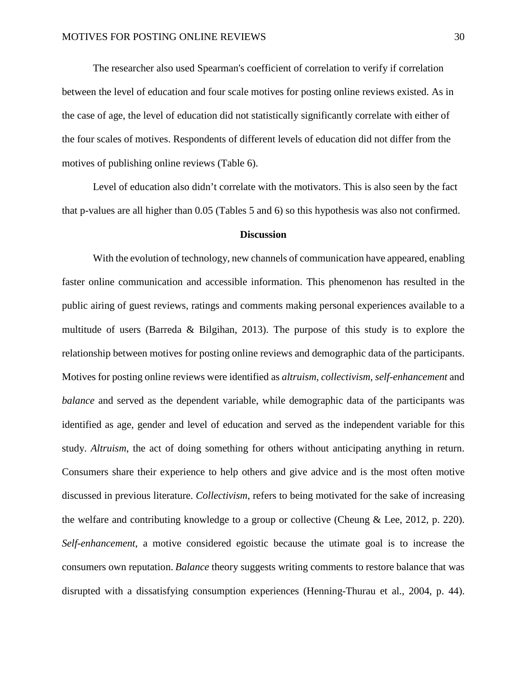The researcher also used Spearman's coefficient of correlation to verify if correlation between the level of education and four scale motives for posting online reviews existed. As in the case of age, the level of education did not statistically significantly correlate with either of the four scales of motives. Respondents of different levels of education did not differ from the motives of publishing online reviews (Table 6).

Level of education also didn't correlate with the motivators. This is also seen by the fact that p-values are all higher than 0.05 (Tables 5 and 6) so this hypothesis was also not confirmed.

#### **Discussion**

<span id="page-30-0"></span>With the evolution of technology, new channels of communication have appeared, enabling faster online communication and accessible information. This phenomenon has resulted in the public airing of guest reviews, ratings and comments making personal experiences available to a multitude of users (Barreda & Bilgihan, 2013). The purpose of this study is to explore the relationship between motives for posting online reviews and demographic data of the participants. Motives for posting online reviews were identified as *altruism, collectivism, self-enhancement* and *balance* and served as the dependent variable, while demographic data of the participants was identified as age*,* gender and level of education and served as the independent variable for this study. *Altruism*, the act of doing something for others without anticipating anything in return. Consumers share their experience to help others and give advice and is the most often motive discussed in previous literature. *Collectivism*, refers to being motivated for the sake of increasing the welfare and contributing knowledge to a group or collective (Cheung & Lee, 2012, p. 220). *Self-enhancement*, a motive considered egoistic because the utimate goal is to increase the consumers own reputation. *Balance* theory suggests writing comments to restore balance that was disrupted with a dissatisfying consumption experiences (Henning-Thurau et al., 2004, p. 44).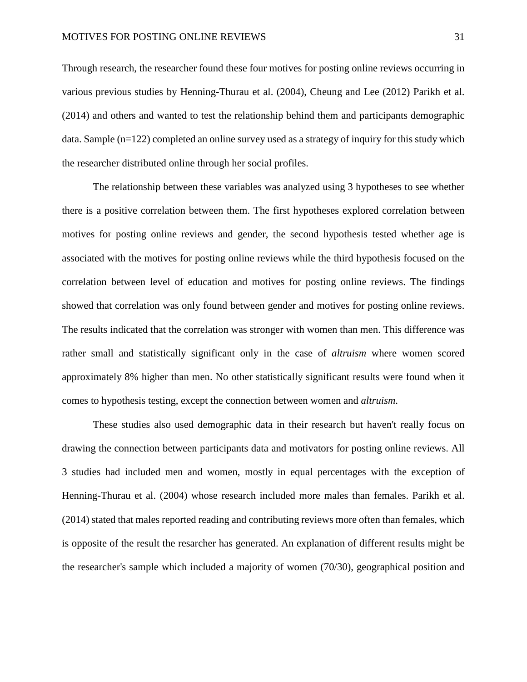Through research, the researcher found these four motives for posting online reviews occurring in various previous studies by Henning-Thurau et al. (2004), Cheung and Lee (2012) Parikh et al. (2014) and others and wanted to test the relationship behind them and participants demographic data. Sample (n=122) completed an online survey used as a strategy of inquiry for this study which the researcher distributed online through her social profiles.

The relationship between these variables was analyzed using 3 hypotheses to see whether there is a positive correlation between them. The first hypotheses explored correlation between motives for posting online reviews and gender, the second hypothesis tested whether age is associated with the motives for posting online reviews while the third hypothesis focused on the correlation between level of education and motives for posting online reviews. The findings showed that correlation was only found between gender and motives for posting online reviews. The results indicated that the correlation was stronger with women than men. This difference was rather small and statistically significant only in the case of *altruism* where women scored approximately 8% higher than men. No other statistically significant results were found when it comes to hypothesis testing, except the connection between women and *altruism*.

These studies also used demographic data in their research but haven't really focus on drawing the connection between participants data and motivators for posting online reviews. All 3 studies had included men and women, mostly in equal percentages with the exception of Henning-Thurau et al. (2004) whose research included more males than females. Parikh et al. (2014) stated that males reported reading and contributing reviews more often than females, which is opposite of the result the resarcher has generated. An explanation of different results might be the researcher's sample which included a majority of women (70/30), geographical position and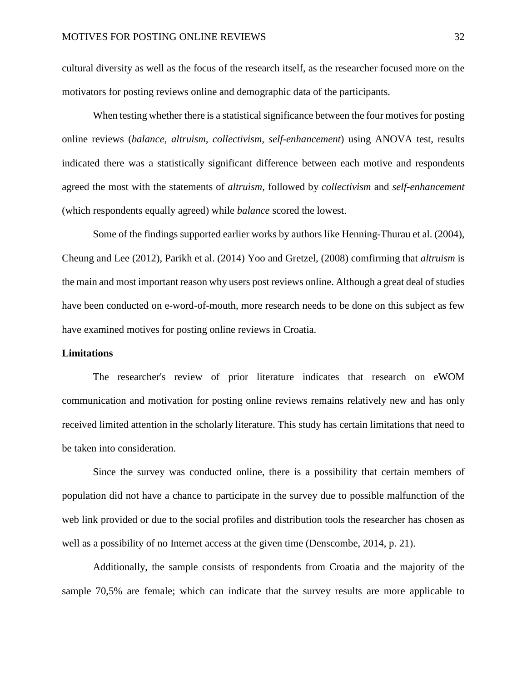cultural diversity as well as the focus of the research itself, as the researcher focused more on the motivators for posting reviews online and demographic data of the participants.

When testing whether there is a statistical significance between the four motives for posting online reviews (*balance, altruism, collectivism, self-enhancement*) using ANOVA test, results indicated there was a statistically significant difference between each motive and respondents agreed the most with the statements of *altruism*, followed by *collectivism* and *self-enhancement* (which respondents equally agreed) while *balance* scored the lowest.

Some of the findings supported earlier works by authors like Henning-Thurau et al. (2004), Cheung and Lee (2012), Parikh et al. (2014) Yoo and Gretzel, (2008) comfirming that *altruism* is the main and most important reason why users post reviews online. Although a great deal of studies have been conducted on e-word-of-mouth, more research needs to be done on this subject as few have examined motives for posting online reviews in Croatia.

#### <span id="page-32-0"></span>**Limitations**

The researcher's review of prior literature indicates that research on eWOM communication and motivation for posting online reviews remains relatively new and has only received limited attention in the scholarly literature. This study has certain limitations that need to be taken into consideration.

Since the survey was conducted online, there is a possibility that certain members of population did not have a chance to participate in the survey due to possible malfunction of the web link provided or due to the social profiles and distribution tools the researcher has chosen as well as a possibility of no Internet access at the given time (Denscombe, 2014, p. 21).

Additionally, the sample consists of respondents from Croatia and the majority of the sample 70,5% are female; which can indicate that the survey results are more applicable to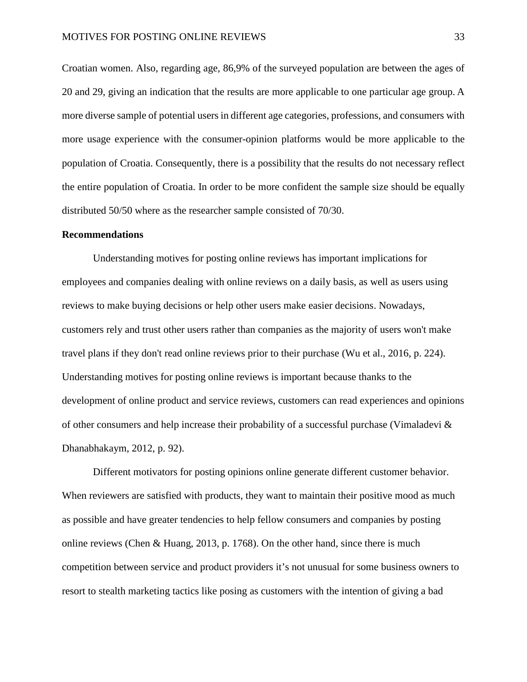Croatian women. Also, regarding age, 86,9% of the surveyed population are between the ages of 20 and 29, giving an indication that the results are more applicable to one particular age group. A more diverse sample of potential users in different age categories, professions, and consumers with more usage experience with the consumer-opinion platforms would be more applicable to the population of Croatia. Consequently, there is a possibility that the results do not necessary reflect the entire population of Croatia. In order to be more confident the sample size should be equally distributed 50/50 where as the researcher sample consisted of 70/30.

#### <span id="page-33-0"></span>**Recommendations**

Understanding motives for posting online reviews has important implications for employees and companies dealing with online reviews on a daily basis, as well as users using reviews to make buying decisions or help other users make easier decisions. Nowadays, customers rely and trust other users rather than companies as the majority of users won't make travel plans if they don't read online reviews prior to their purchase (Wu et al., 2016, p. 224). Understanding motives for posting online reviews is important because thanks to the development of online product and service reviews, customers can read experiences and opinions of other consumers and help increase their probability of a successful purchase (Vimaladevi  $\&$ Dhanabhakaym, 2012, p. 92).

Different motivators for posting opinions online generate different customer behavior. When reviewers are satisfied with products, they want to maintain their positive mood as much as possible and have greater tendencies to help fellow consumers and companies by posting online reviews (Chen & Huang, 2013, p. 1768). On the other hand, since there is much competition between service and product providers it's not unusual for some business owners to resort to stealth marketing tactics like posing as customers with the intention of giving a bad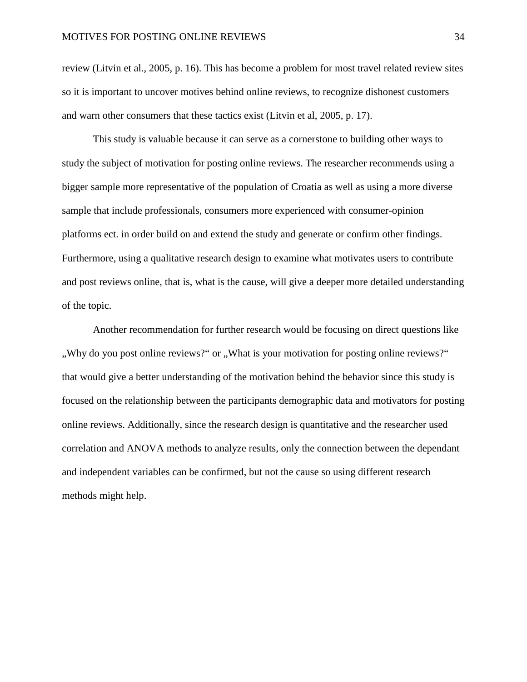review (Litvin et al., 2005, p. 16). This has become a problem for most travel related review sites so it is important to uncover motives behind online reviews, to recognize dishonest customers and warn other consumers that these tactics exist (Litvin et al, 2005, p. 17).

This study is valuable because it can serve as a cornerstone to building other ways to study the subject of motivation for posting online reviews. The researcher recommends using a bigger sample more representative of the population of Croatia as well as using a more diverse sample that include professionals, consumers more experienced with consumer-opinion platforms ect. in order build on and extend the study and generate or confirm other findings. Furthermore, using a qualitative research design to examine what motivates users to contribute and post reviews online, that is, what is the cause, will give a deeper more detailed understanding of the topic.

Another recommendation for further research would be focusing on direct questions like ", Why do you post online reviews?" or "What is your motivation for posting online reviews?" that would give a better understanding of the motivation behind the behavior since this study is focused on the relationship between the participants demographic data and motivators for posting online reviews. Additionally, since the research design is quantitative and the researcher used correlation and ANOVA methods to analyze results, only the connection between the dependant and independent variables can be confirmed, but not the cause so using different research methods might help.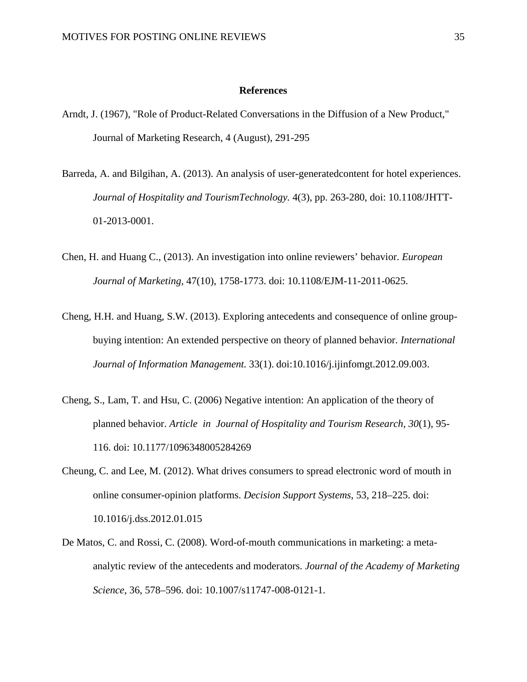#### **References**

- <span id="page-35-0"></span>Arndt, J. (1967), "Role of Product-Related Conversations in the Diffusion of a New Product," Journal of Marketing Research, 4 (August), 291-295
- Barreda, A. and Bilgihan, A. (2013). An analysis of user-generatedcontent for hotel experiences. *Journal of Hospitality and TourismTechnology.* 4(3), pp. 263-280, doi: 10.1108/JHTT-01-2013-0001.
- Chen, H. and Huang C., (2013). An investigation into online reviewers' behavior. *European Journal of Marketing,* 47(10), 1758-1773. doi: 10.1108/EJM-11-2011-0625.
- Cheng, H.H. and Huang, S.W. (2013). Exploring antecedents and consequence of online groupbuying intention: An extended perspective on theory of planned behavior. *International Journal of Information Management.* 33(1). doi:10.1016/j.ijinfomgt.2012.09.003.
- Cheng, S., Lam, T. and Hsu, C. (2006) Negative intention: An application of the theory of planned behavior. *Article in Journal of Hospitality and Tourism Research, 30*(1), 95- 116. doi: 10.1177/1096348005284269
- Cheung, C. and Lee, M. (2012). What drives consumers to spread electronic word of mouth in online consumer-opinion platforms. *Decision Support Systems*, 53, 218–225. doi: 10.1016/j.dss.2012.01.015
- De Matos, C. and Rossi, C. (2008). Word-of-mouth communications in marketing: a metaanalytic review of the antecedents and moderators. *Journal of the Academy of Marketing Science*, 36, 578–596. doi: 10.1007/s11747-008-0121-1.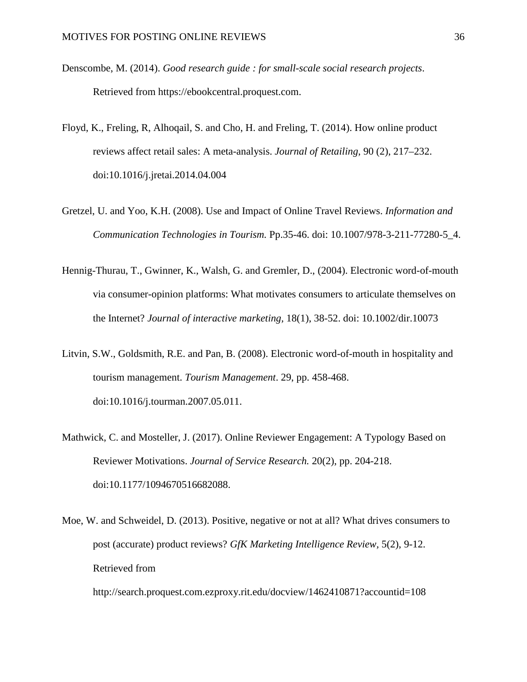- Denscombe, M. (2014). *Good research guide : for small-scale social research projects*. Retrieved from https://ebookcentral.proquest.com.
- Floyd, K., Freling, R, Alhoqail, S. and Cho, H. and Freling, T. (2014). How online product reviews affect retail sales: A meta-analysis. *Journal of Retailing*, 90 (2), 217–232. doi:10.1016/j.jretai.2014.04.004
- Gretzel, U. and Yoo, K.H. (2008). Use and Impact of Online Travel Reviews. *Information and Communication Technologies in Tourism.* Pp.35-46. doi: 10.1007/978-3-211-77280-5\_4.
- Hennig-Thurau, T., Gwinner, K., Walsh, G. and Gremler, D., (2004). Electronic word-of-mouth via consumer-opinion platforms: What motivates consumers to articulate themselves on the Internet? *Journal of interactive marketing,* 18(1), 38-52. doi: 10.1002/dir.10073
- Litvin, S.W., Goldsmith, R.E. and Pan, B. (2008). Electronic word-of-mouth in hospitality and tourism management. *Tourism Management*. 29, pp. 458-468. doi:10.1016/j.tourman.2007.05.011.
- Mathwick, C. and Mosteller, J. (2017). Online Reviewer Engagement: A Typology Based on Reviewer Motivations. *Journal of Service Research.* 20(2), pp. 204-218. doi:10.1177/1094670516682088.
- Moe, W. and Schweidel, D. (2013). Positive, negative or not at all? What drives consumers to post (accurate) product reviews? *GfK Marketing Intelligence Review,* 5(2), 9-12. Retrieved from

http://search.proquest.com.ezproxy.rit.edu/docview/1462410871?accountid=108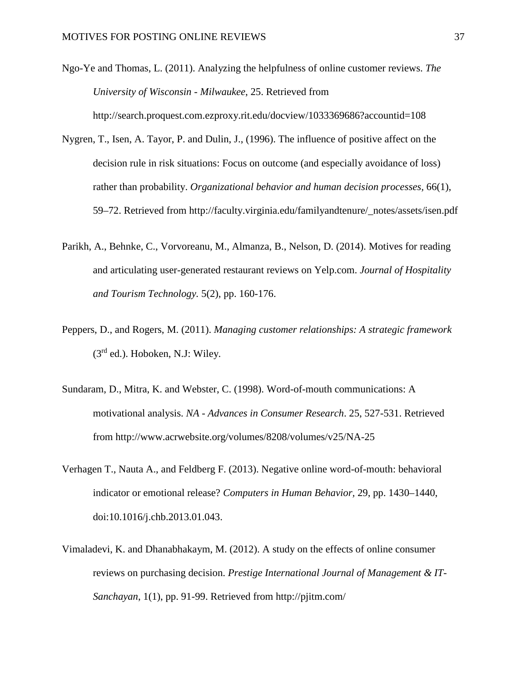- Ngo-Ye and Thomas, L. (2011). Analyzing the helpfulness of online customer reviews. *The University of Wisconsin - Milwaukee*, 25. Retrieved from http://search.proquest.com.ezproxy.rit.edu/docview/1033369686?accountid=108
- Nygren, T., Isen, A. Tayor, P. and Dulin, J., (1996). The influence of positive affect on the decision rule in risk situations: Focus on outcome (and especially avoidance of loss) rather than probability. *Organizational behavior and human decision processes,* 66(1), 59–72. Retrieved from http://faculty.virginia.edu/familyandtenure/\_notes/assets/isen.pdf
- Parikh, A., Behnke, C., Vorvoreanu, M., Almanza, B., Nelson, D. (2014). Motives for reading and articulating user-generated restaurant reviews on Yelp.com. *Journal of Hospitality and Tourism Technology.* 5(2), pp. 160-176.
- Peppers, D., and Rogers, M. (2011). *Managing customer relationships: A strategic framework*  $(3<sup>rd</sup>$  ed.). Hoboken, N.J: Wiley.
- Sundaram, D., Mitra, K. and Webster, C. (1998). Word-of-mouth communications: A motivational analysis. *NA - Advances in Consumer Research*. 25, 527-531. Retrieved from http://www.acrwebsite.org/volumes/8208/volumes/v25/NA-25
- Verhagen T., Nauta A., and Feldberg F. (2013). Negative online word-of-mouth: behavioral indicator or emotional release? *Computers in Human Behavior,* 29, pp. 1430–1440, doi:10.1016/j.chb.2013.01.043.
- Vimaladevi, K. and Dhanabhakaym, M. (2012). A study on the effects of online consumer reviews on purchasing decision. *Prestige International Journal of Management & IT-Sanchayan*, 1(1), pp. 91-99. Retrieved from http://pjitm.com/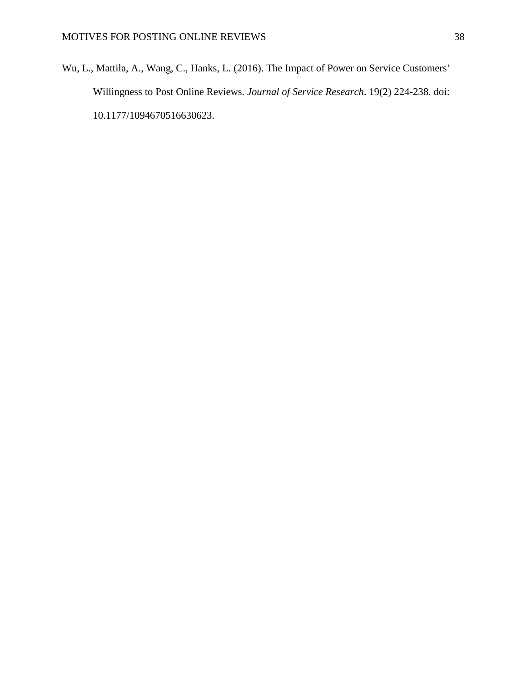Wu, L., Mattila, A., Wang, C., Hanks, L. (2016). The Impact of Power on Service Customers' Willingness to Post Online Reviews. *Journal of Service Research*. 19(2) 224-238. doi: 10.1177/1094670516630623.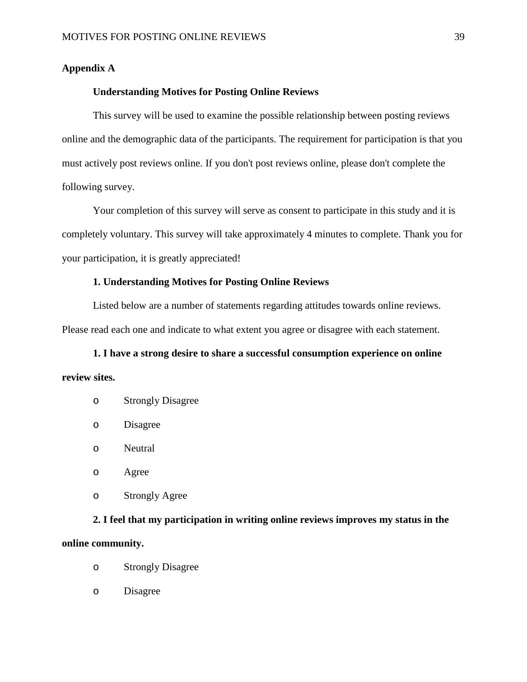#### <span id="page-39-0"></span>**Appendix A**

#### **Understanding Motives for Posting Online Reviews**

This survey will be used to examine the possible relationship between posting reviews online and the demographic data of the participants. The requirement for participation is that you must actively post reviews online. If you don't post reviews online, please don't complete the following survey.

Your completion of this survey will serve as consent to participate in this study and it is completely voluntary. This survey will take approximately 4 minutes to complete. Thank you for your participation, it is greatly appreciated!

#### **1. Understanding Motives for Posting Online Reviews**

Listed below are a number of statements regarding attitudes towards online reviews. Please read each one and indicate to what extent you agree or disagree with each statement.

**1. I have a strong desire to share a successful consumption experience on online review sites.**

- o Strongly Disagree
- o Disagree
- o Neutral
- o Agree
- o Strongly Agree

## **2. I feel that my participation in writing online reviews improves my status in the**

#### **online community.**

- o Strongly Disagree
- o Disagree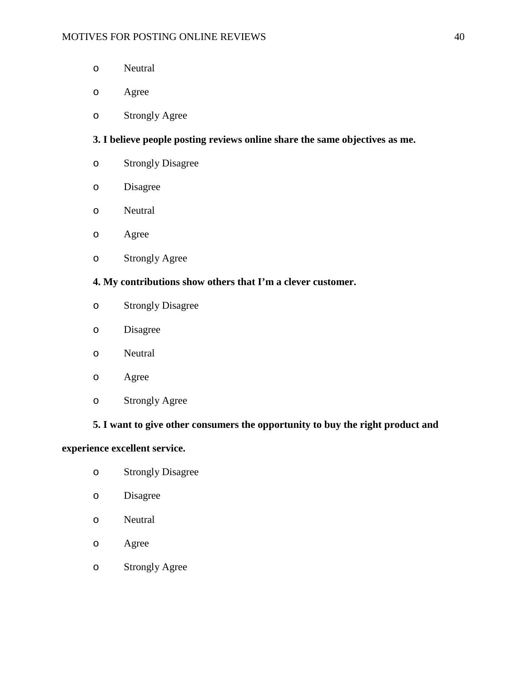- o Neutral
- o Agree
- o Strongly Agree

#### **3. I believe people posting reviews online share the same objectives as me.**

- o Strongly Disagree
- o Disagree
- o Neutral
- o Agree
- o Strongly Agree

#### **4. My contributions show others that I'm a clever customer.**

- o Strongly Disagree
- o Disagree
- o Neutral
- o Agree
- o Strongly Agree

#### **5. I want to give other consumers the opportunity to buy the right product and**

#### **experience excellent service.**

- o Strongly Disagree
- o Disagree
- o Neutral
- o Agree
- o Strongly Agree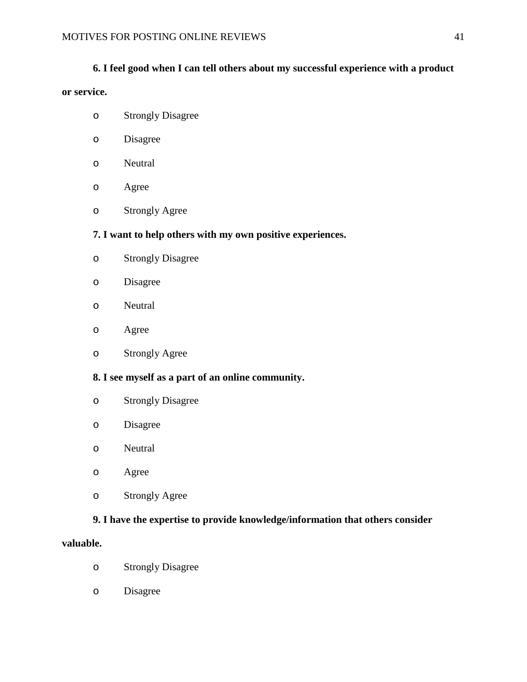#### **6. I feel good when I can tell others about my successful experience with a product**

#### **or service.**

- o Strongly Disagree
- o Disagree
- o Neutral
- o Agree
- o Strongly Agree

#### **7. I want to help others with my own positive experiences.**

- o Strongly Disagree
- o Disagree
- o Neutral
- o Agree
- o Strongly Agree

#### **8. I see myself as a part of an online community.**

- o Strongly Disagree
- o Disagree
- o Neutral
- o Agree
- o Strongly Agree

#### **9. I have the expertise to provide knowledge/information that others consider**

#### **valuable.**

- o Strongly Disagree
- o Disagree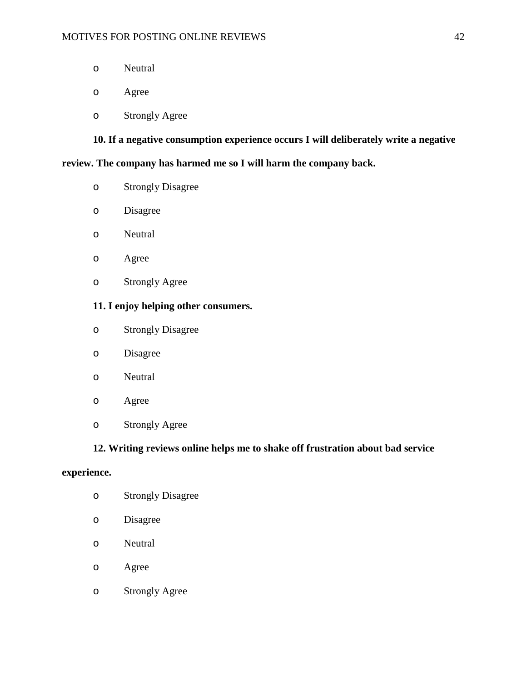- o Neutral
- o Agree
- o Strongly Agree

**10. If a negative consumption experience occurs I will deliberately write a negative** 

#### **review. The company has harmed me so I will harm the company back.**

- o Strongly Disagree
- o Disagree
- o Neutral
- o Agree
- o Strongly Agree

#### **11. I enjoy helping other consumers.**

- o Strongly Disagree
- o Disagree
- o Neutral
- o Agree
- o Strongly Agree

#### **12. Writing reviews online helps me to shake off frustration about bad service**

#### **experience.**

- o Strongly Disagree
- o Disagree
- o Neutral
- o Agree
- o Strongly Agree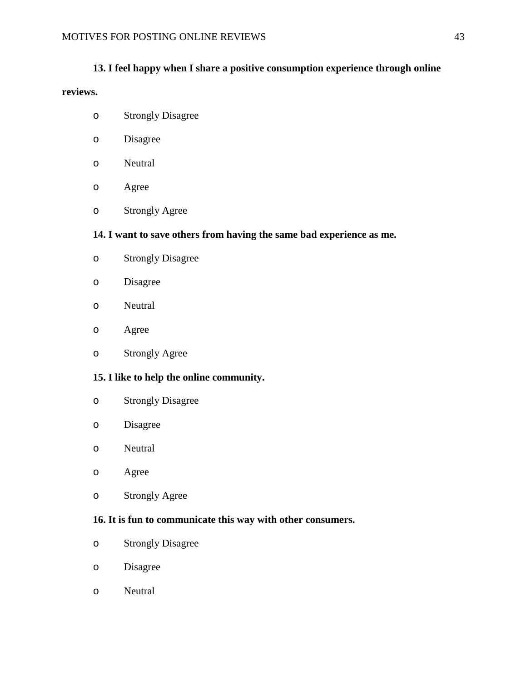#### **13. I feel happy when I share a positive consumption experience through online**

#### **reviews.**

- o Strongly Disagree
- o Disagree
- o Neutral
- o Agree
- o Strongly Agree

#### **14. I want to save others from having the same bad experience as me.**

- o Strongly Disagree
- o Disagree
- o Neutral
- o Agree
- o Strongly Agree

#### **15. I like to help the online community.**

- o Strongly Disagree
- o Disagree
- o Neutral
- o Agree
- o Strongly Agree

#### **16. It is fun to communicate this way with other consumers.**

- o Strongly Disagree
- o Disagree
- o Neutral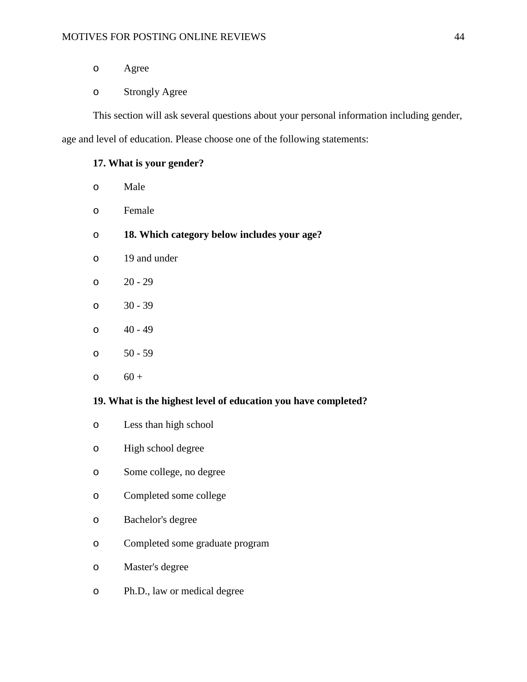- o Agree
- o Strongly Agree

This section will ask several questions about your personal information including gender,

age and level of education. Please choose one of the following statements:

#### **17. What is your gender?**

- o Male
- o Female
- o **18. Which category below includes your age?**
- o 19 and under
- o 20 29
- o 30 39
- $0 \times 40 49$
- o 50 59
- $0 + 60 +$

#### **19. What is the highest level of education you have completed?**

- o Less than high school
- o High school degree
- o Some college, no degree
- o Completed some college
- o Bachelor's degree
- o Completed some graduate program
- o Master's degree
- o Ph.D., law or medical degree